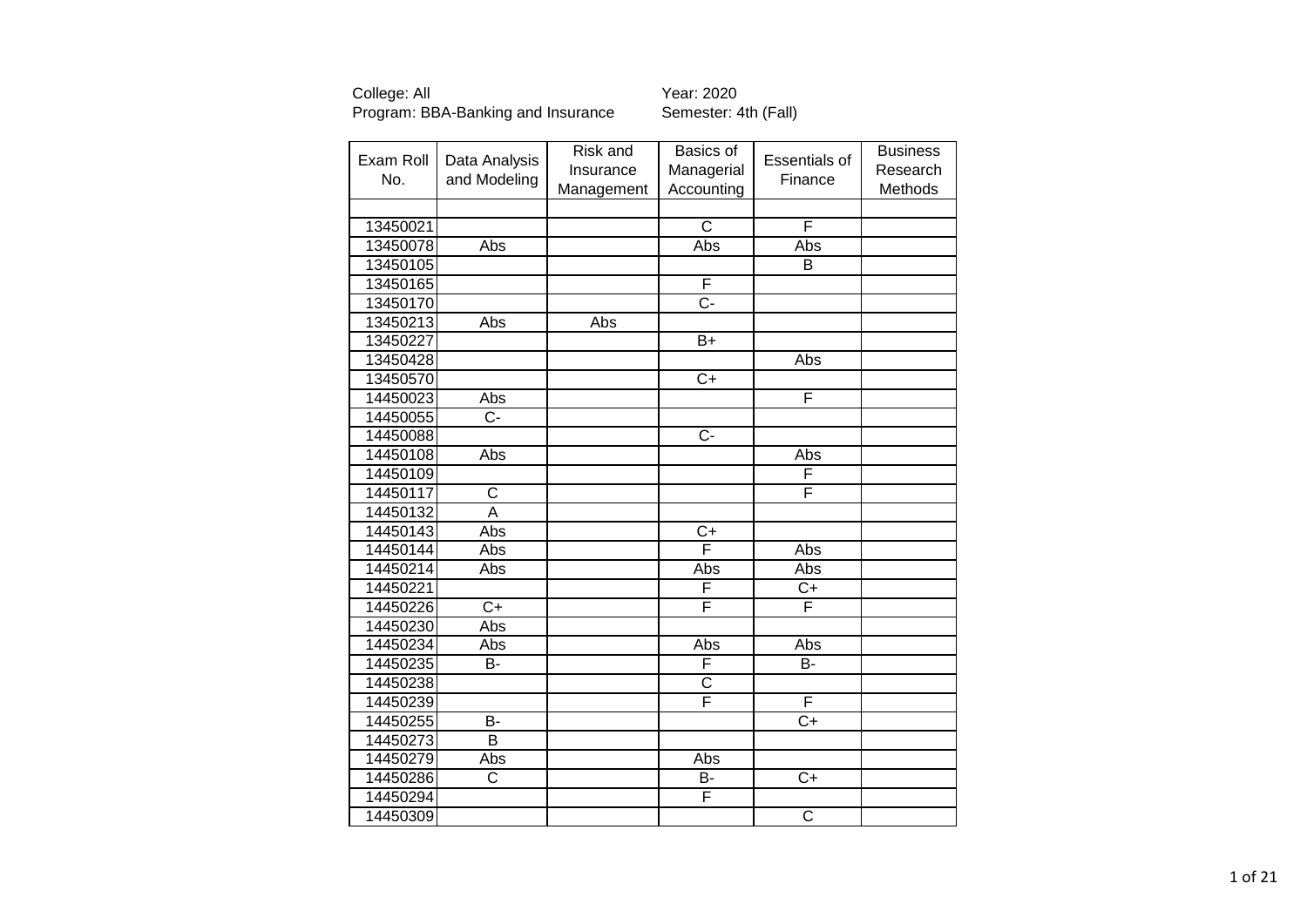|           |                | Risk and   | Basics of             |                       | <b>Business</b> |
|-----------|----------------|------------|-----------------------|-----------------------|-----------------|
| Exam Roll | Data Analysis  | Insurance  | Managerial            | Essentials of         | Research        |
| No.       | and Modeling   | Management | Accounting            | Finance               | Methods         |
|           |                |            |                       |                       |                 |
| 13450021  |                |            | C                     | F                     |                 |
| 13450078  | Abs            |            | Abs                   | Abs                   |                 |
| 13450105  |                |            |                       | B                     |                 |
| 13450165  |                |            | F                     |                       |                 |
| 13450170  |                |            | $\overline{C}$ -      |                       |                 |
| 13450213  | Abs            | Abs        |                       |                       |                 |
| 13450227  |                |            | $B+$                  |                       |                 |
| 13450428  |                |            |                       | Abs                   |                 |
| 13450570  |                |            | $C+$                  |                       |                 |
| 14450023  | Abs            |            |                       | F                     |                 |
| 14450055  | Ċ-             |            |                       |                       |                 |
| 14450088  |                |            | $\overline{C}$        |                       |                 |
| 14450108  | Abs            |            |                       | Abs                   |                 |
| 14450109  |                |            |                       | F                     |                 |
| 14450117  | $\mathsf C$    |            |                       | F                     |                 |
| 14450132  | A              |            |                       |                       |                 |
| 14450143  | Abs            |            | $\overline{C}$        |                       |                 |
| 14450144  | Abs            |            | F                     | Abs                   |                 |
| 14450214  | Abs            |            | Abs                   | Abs                   |                 |
| 14450221  |                |            | F                     | C+                    |                 |
| 14450226  | $\overline{C}$ |            | F                     | F                     |                 |
| 14450230  | Abs            |            |                       |                       |                 |
| 14450234  | Abs            |            | Abs                   | Abs                   |                 |
| 14450235  | B-             |            | F                     | B-                    |                 |
| 14450238  |                |            | $\overline{\text{c}}$ |                       |                 |
| 14450239  |                |            | F                     | F                     |                 |
| 14450255  | B-             |            |                       | $\overline{C+}$       |                 |
| 14450273  | $\overline{B}$ |            |                       |                       |                 |
| 14450279  | Abs            |            | Abs                   |                       |                 |
| 14450286  | C              |            | B-                    | $\overline{C}$        |                 |
| 14450294  |                |            | F                     |                       |                 |
| 14450309  |                |            |                       | $\overline{\text{c}}$ |                 |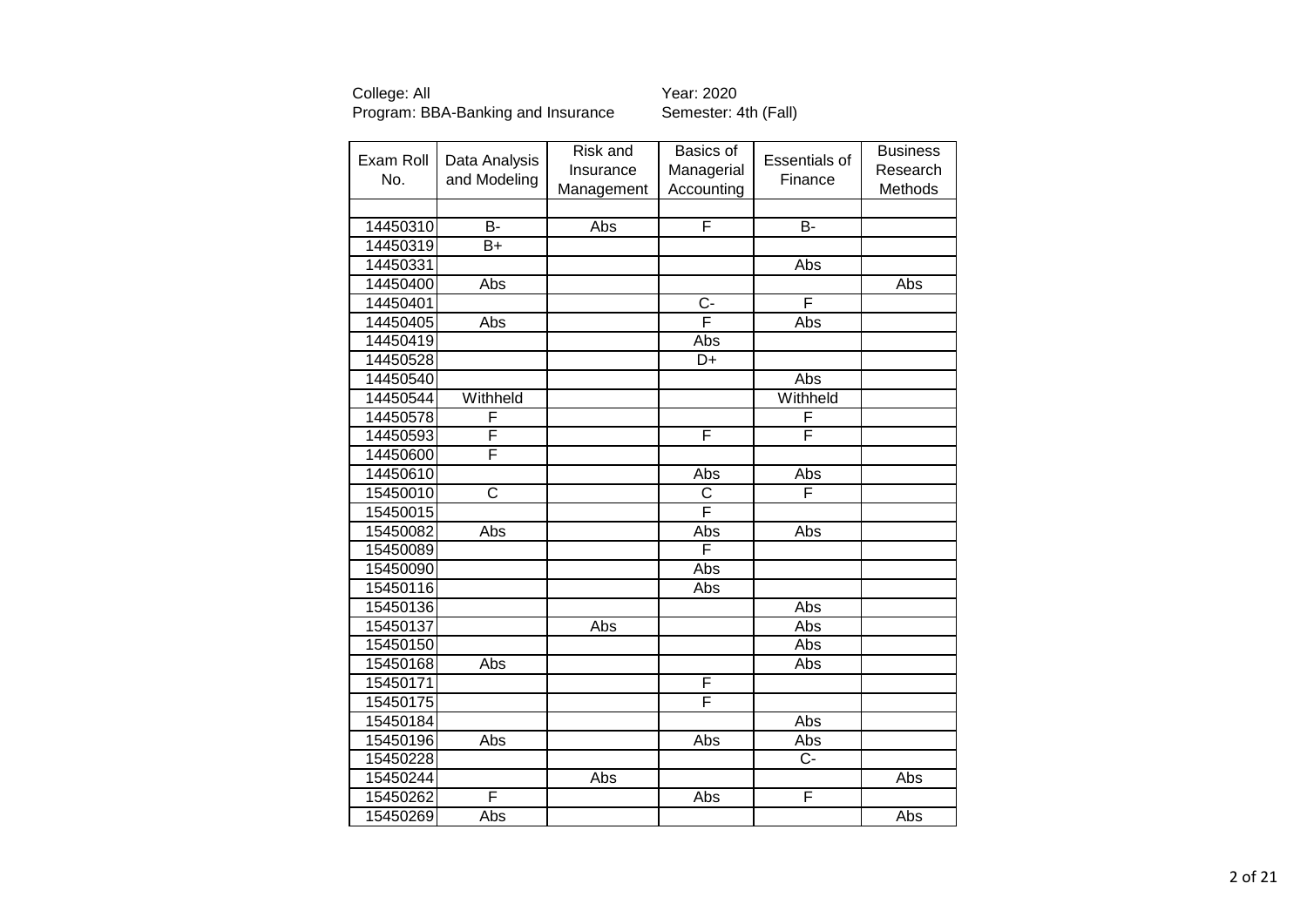| Exam Roll | Data Analysis | Risk and   | Basics of      | <b>Essentials of</b> | <b>Business</b> |
|-----------|---------------|------------|----------------|----------------------|-----------------|
| No.       | and Modeling  | Insurance  | Managerial     | Finance              | Research        |
|           |               | Management | Accounting     |                      | Methods         |
|           |               |            |                |                      |                 |
| 14450310  | <b>B-</b>     | Abs        | F              | <b>B-</b>            |                 |
| 14450319  | $B+$          |            |                |                      |                 |
| 14450331  |               |            |                | Abs                  |                 |
| 14450400  | Abs           |            |                |                      | Abs             |
| 14450401  |               |            | $\overline{C}$ | F                    |                 |
| 14450405  | Abs           |            | F              | Abs                  |                 |
| 14450419  |               |            | Abs            |                      |                 |
| 14450528  |               |            | D+             |                      |                 |
| 14450540  |               |            |                | Abs                  |                 |
| 14450544  | Withheld      |            |                | Withheld             |                 |
| 14450578  | F             |            |                | F                    |                 |
| 14450593  | F             |            | F              | F                    |                 |
| 14450600  | F             |            |                |                      |                 |
| 14450610  |               |            | Abs            | Abs                  |                 |
| 15450010  | C             |            | C              | F                    |                 |
| 15450015  |               |            | F              |                      |                 |
| 15450082  | Abs           |            | Abs            | Abs                  |                 |
| 15450089  |               |            | F              |                      |                 |
| 15450090  |               |            | Abs            |                      |                 |
| 15450116  |               |            | Abs            |                      |                 |
| 15450136  |               |            |                | Abs                  |                 |
| 15450137  |               | Abs        |                | Abs                  |                 |
| 15450150  |               |            |                | Abs                  |                 |
| 15450168  | Abs           |            |                | Abs                  |                 |
| 15450171  |               |            | F              |                      |                 |
| 15450175  |               |            | F              |                      |                 |
| 15450184  |               |            |                | Abs                  |                 |
| 15450196  | Abs           |            | Abs            | Abs                  |                 |
| 15450228  |               |            |                | $\overline{C}$       |                 |
| 15450244  |               | Abs        |                |                      | Abs             |
| 15450262  | F             |            | Abs            | F                    |                 |
| 15450269  | Abs           |            |                |                      | Abs             |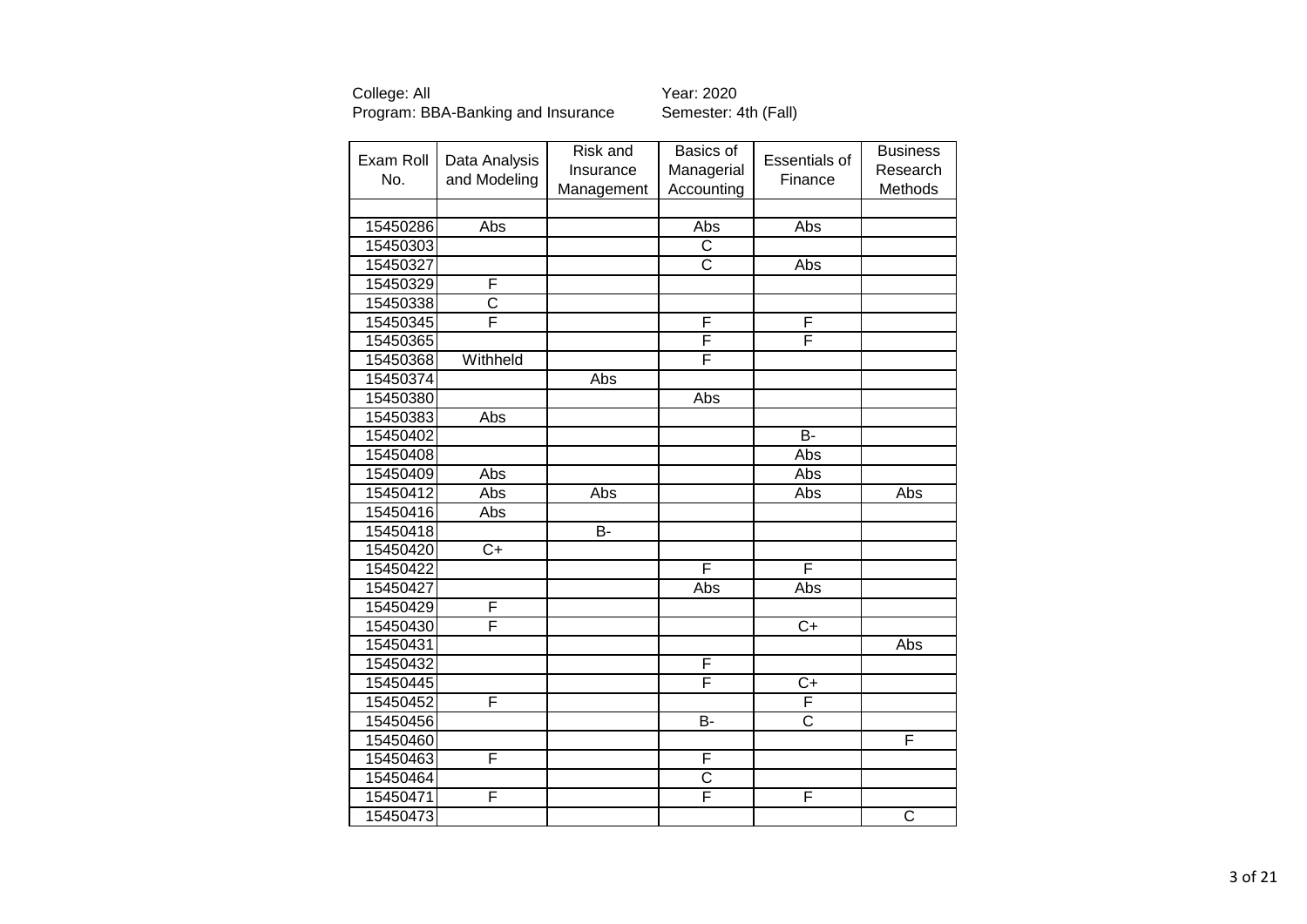| Exam Roll<br>No. | Data Analysis<br>and Modeling | Risk and<br>Insurance | Basics of<br>Managerial | <b>Essentials of</b><br>Finance | <b>Business</b><br>Research |
|------------------|-------------------------------|-----------------------|-------------------------|---------------------------------|-----------------------------|
|                  |                               | Management            | Accounting              |                                 | Methods                     |
| 15450286         | Abs                           |                       | Abs                     | Abs                             |                             |
| 15450303         |                               |                       | $\overline{\text{c}}$   |                                 |                             |
| 15450327         |                               |                       | $\overline{C}$          | Abs                             |                             |
| 15450329         | F                             |                       |                         |                                 |                             |
| 15450338         | $\overline{\text{c}}$         |                       |                         |                                 |                             |
| 15450345         | F                             |                       | F                       | F                               |                             |
| 15450365         |                               |                       | F                       | F                               |                             |
| 15450368         | Withheld                      |                       | F                       |                                 |                             |
| 15450374         |                               | Abs                   |                         |                                 |                             |
| 15450380         |                               |                       | Abs                     |                                 |                             |
| 15450383         | Abs                           |                       |                         |                                 |                             |
| 15450402         |                               |                       |                         | B-                              |                             |
| 15450408         |                               |                       |                         | Abs                             |                             |
| 15450409         | Abs                           |                       |                         | Abs                             |                             |
| 15450412         | Abs                           | Abs                   |                         | Abs                             | Abs                         |
| 15450416         | Abs                           |                       |                         |                                 |                             |
| 15450418         |                               | $\overline{B}$        |                         |                                 |                             |
| 15450420         | $C+$                          |                       |                         |                                 |                             |
| 15450422         |                               |                       | F                       | F                               |                             |
| 15450427         |                               |                       | Abs                     | Abs                             |                             |
| 15450429         | F                             |                       |                         |                                 |                             |
| 15450430         | F                             |                       |                         | $C+$                            |                             |
| 15450431         |                               |                       |                         |                                 | Abs                         |
| 15450432         |                               |                       | F                       |                                 |                             |
| 15450445         |                               |                       | F                       | $\overline{C+}$                 |                             |
| 15450452         | F                             |                       |                         | F                               |                             |
| 15450456         |                               |                       | <b>B-</b>               | $\overline{\text{c}}$           |                             |
| 15450460         |                               |                       |                         |                                 | F                           |
| 15450463         | F                             |                       | F                       |                                 |                             |
| 15450464         |                               |                       | $\overline{\text{c}}$   |                                 |                             |
| 15450471         | F                             |                       | F                       | F                               |                             |
| 15450473         |                               |                       |                         |                                 | $\overline{\text{C}}$       |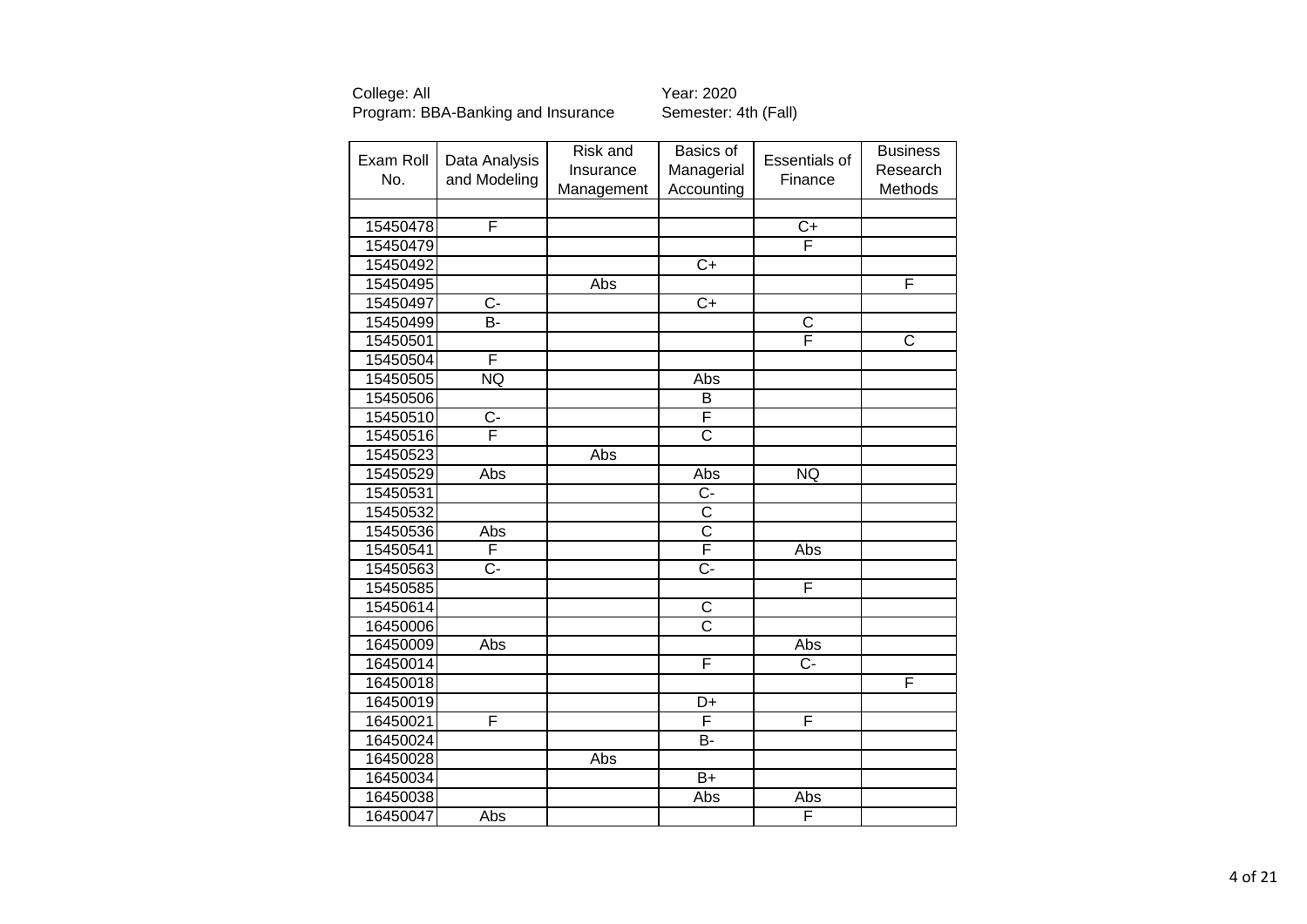| Exam Roll<br>No. | Data Analysis<br>and Modeling | Risk and<br>Insurance<br>Management | Basics of<br>Managerial<br>Accounting | <b>Essentials of</b><br>Finance | <b>Business</b><br>Research<br>Methods |
|------------------|-------------------------------|-------------------------------------|---------------------------------------|---------------------------------|----------------------------------------|
|                  |                               |                                     |                                       |                                 |                                        |
| 15450478         | F                             |                                     |                                       | $\overline{C}$                  |                                        |
| 15450479         |                               |                                     |                                       | F                               |                                        |
| 15450492         |                               |                                     | $\overline{C}$                        |                                 |                                        |
| 15450495         |                               | Abs                                 |                                       |                                 | F                                      |
| 15450497         | $\overline{C}$ -              |                                     | $\overline{C+}$                       |                                 |                                        |
| 15450499         | B-                            |                                     |                                       | $\overline{\text{c}}$           |                                        |
| 15450501         |                               |                                     |                                       | F                               | $\overline{\text{c}}$                  |
| 15450504         | F                             |                                     |                                       |                                 |                                        |
| 15450505         | <b>NQ</b>                     |                                     | Abs                                   |                                 |                                        |
| 15450506         |                               |                                     | B                                     |                                 |                                        |
| 15450510         | $\overline{C}$ -              |                                     | F                                     |                                 |                                        |
| 15450516         | Ē                             |                                     | $\overline{\text{c}}$                 |                                 |                                        |
| 15450523         |                               | Abs                                 |                                       |                                 |                                        |
| 15450529         | Abs                           |                                     | Abs                                   | <b>NQ</b>                       |                                        |
| 15450531         |                               |                                     | $C -$                                 |                                 |                                        |
| 15450532         |                               |                                     | $\overline{C}$                        |                                 |                                        |
| 15450536         | Abs                           |                                     | $\overline{\text{c}}$                 |                                 |                                        |
| 15450541         | F                             |                                     | F                                     | Abs                             |                                        |
| 15450563         | $\overline{C}$ -              |                                     | $\overline{C}$ -                      |                                 |                                        |
| 15450585         |                               |                                     |                                       | F                               |                                        |
| 15450614         |                               |                                     | C                                     |                                 |                                        |
| 16450006         |                               |                                     | $\overline{\text{c}}$                 |                                 |                                        |
| 16450009         | <b>Abs</b>                    |                                     |                                       | Abs                             |                                        |
| 16450014         |                               |                                     | F                                     | $C -$                           |                                        |
| 16450018         |                               |                                     |                                       |                                 | F                                      |
| 16450019         |                               |                                     | D+                                    |                                 |                                        |
| 16450021         | F                             |                                     | F                                     | F                               |                                        |
| 16450024         |                               |                                     | B-                                    |                                 |                                        |
| 16450028         |                               | Abs                                 |                                       |                                 |                                        |
| 16450034         |                               |                                     | $B+$                                  |                                 |                                        |
| 16450038         |                               |                                     | Abs                                   | Abs                             |                                        |
| 16450047         | Abs                           |                                     |                                       | F                               |                                        |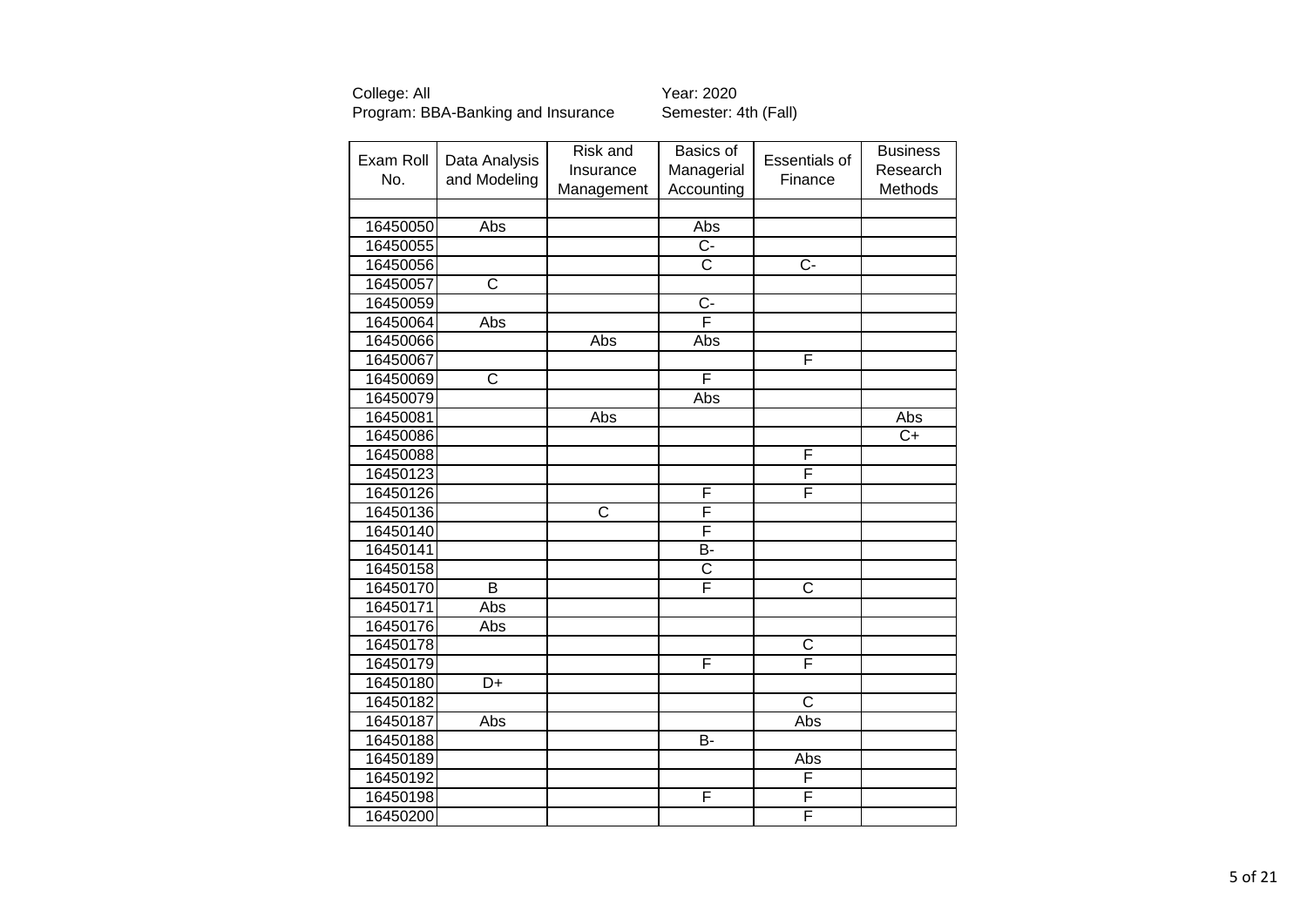| Exam Roll | Data Analysis         | Risk and<br>Insurance | Basics of<br>Managerial | <b>Essentials of</b>    | <b>Business</b><br>Research |
|-----------|-----------------------|-----------------------|-------------------------|-------------------------|-----------------------------|
| No.       | and Modeling          | Management            | Accounting              | Finance                 | Methods                     |
|           |                       |                       |                         |                         |                             |
| 16450050  | Abs                   |                       | Abs                     |                         |                             |
| 16450055  |                       |                       | $\overline{C}$          |                         |                             |
| 16450056  |                       |                       | $\overline{\text{c}}$   | $\overline{C}$          |                             |
| 16450057  | $\overline{\text{c}}$ |                       |                         |                         |                             |
| 16450059  |                       |                       | $\overline{C}$          |                         |                             |
| 16450064  | Abs                   |                       | F                       |                         |                             |
| 16450066  |                       | Abs                   | Abs                     |                         |                             |
| 16450067  |                       |                       |                         | F                       |                             |
| 16450069  | C                     |                       | F                       |                         |                             |
| 16450079  |                       |                       | Abs                     |                         |                             |
| 16450081  |                       | Abs                   |                         |                         | Abs                         |
| 16450086  |                       |                       |                         |                         | $C+$                        |
| 16450088  |                       |                       |                         | F                       |                             |
| 16450123  |                       |                       |                         | F                       |                             |
| 16450126  |                       |                       | F                       | F                       |                             |
| 16450136  |                       | C                     | F                       |                         |                             |
| 16450140  |                       |                       | F                       |                         |                             |
| 16450141  |                       |                       | B-                      |                         |                             |
| 16450158  |                       |                       | C                       |                         |                             |
| 16450170  | $\overline{B}$        |                       | F                       | $\overline{\text{c}}$   |                             |
| 16450171  | Abs                   |                       |                         |                         |                             |
| 16450176  | Abs                   |                       |                         |                         |                             |
| 16450178  |                       |                       |                         | $\overline{\text{c}}$   |                             |
| 16450179  |                       |                       | F                       | $\overline{\mathsf{F}}$ |                             |
| 16450180  | D+                    |                       |                         |                         |                             |
| 16450182  |                       |                       |                         | $\overline{\text{c}}$   |                             |
| 16450187  | Abs                   |                       |                         | Abs                     |                             |
| 16450188  |                       |                       | B-                      |                         |                             |
| 16450189  |                       |                       |                         | Abs                     |                             |
| 16450192  |                       |                       |                         | F                       |                             |
| 16450198  |                       |                       | F                       | F                       |                             |
| 16450200  |                       |                       |                         | F                       |                             |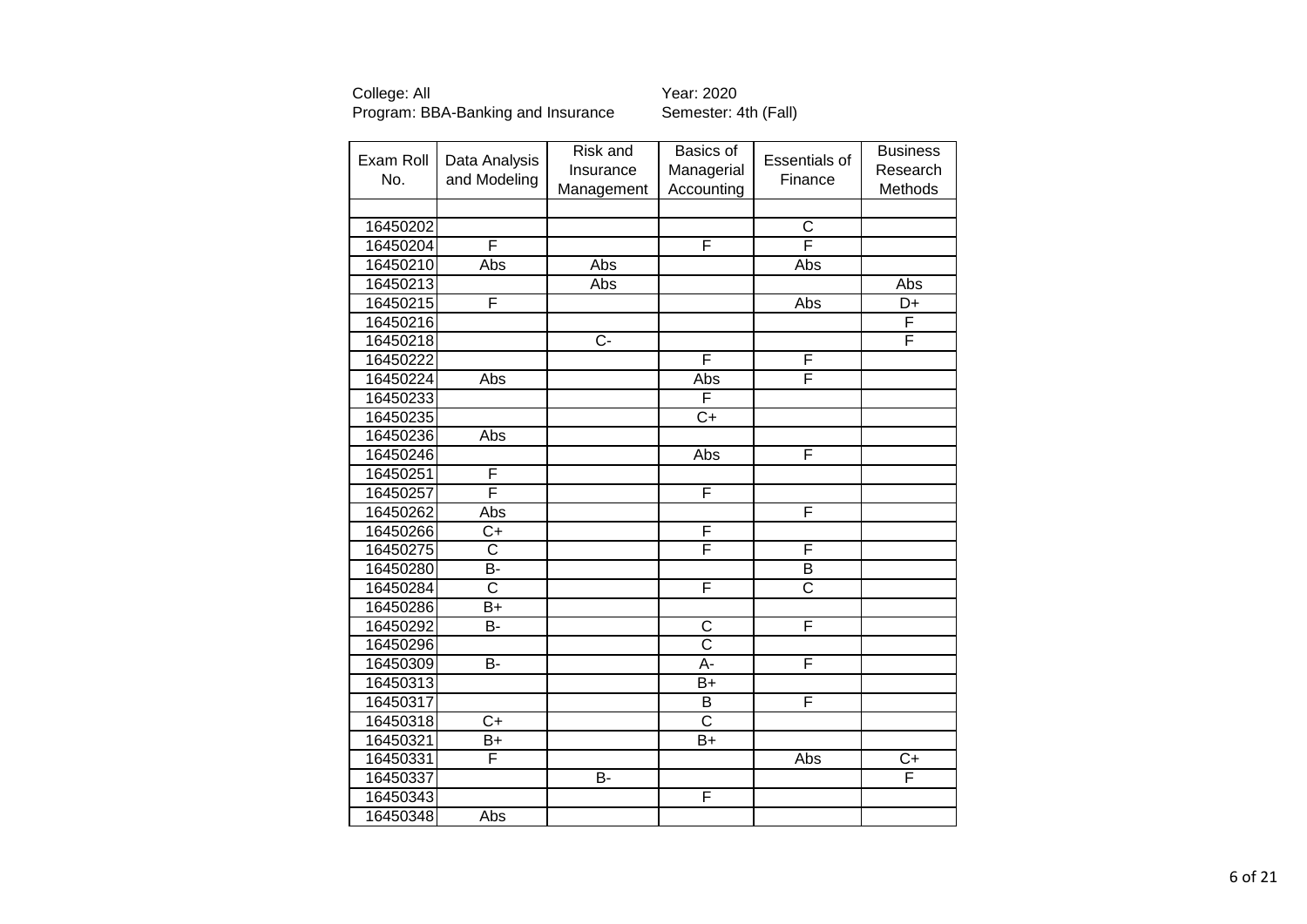| Exam Roll<br>No. | Data Analysis<br>and Modeling | Risk and<br>Insurance | Basics of<br>Managerial | <b>Essentials of</b><br>Finance | <b>Business</b><br>Research |
|------------------|-------------------------------|-----------------------|-------------------------|---------------------------------|-----------------------------|
|                  |                               | Management            | Accounting              |                                 | Methods                     |
|                  |                               |                       |                         |                                 |                             |
| 16450202         |                               |                       |                         | C<br>$\overline{\mathsf{F}}$    |                             |
| 16450204         | F                             |                       | F                       |                                 |                             |
| 16450210         | Abs                           | Abs                   |                         | Abs                             |                             |
| 16450213         |                               | Abs                   |                         |                                 | Abs                         |
| 16450215         | F                             |                       |                         | Abs                             | D+                          |
| 16450216         |                               |                       |                         |                                 | F                           |
| 16450218         |                               | $\overline{C}$ -      |                         |                                 | F                           |
| 16450222         |                               |                       | F                       | F                               |                             |
| 16450224         | Abs                           |                       | Abs                     | F                               |                             |
| 16450233         |                               |                       | F                       |                                 |                             |
| 16450235         |                               |                       | $\overline{C}$          |                                 |                             |
| 16450236         | Abs                           |                       |                         |                                 |                             |
| 16450246         |                               |                       | Abs                     | F                               |                             |
| 16450251         | F                             |                       |                         |                                 |                             |
| 16450257         | F                             |                       | F                       |                                 |                             |
| 16450262         | Abs                           |                       |                         | F                               |                             |
| 16450266         | $\overline{C}$                |                       | F                       |                                 |                             |
| 16450275         | C                             |                       | F                       | F                               |                             |
| 16450280         | B-                            |                       |                         | B                               |                             |
| 16450284         | $\overline{\text{c}}$         |                       | F                       | $\overline{\text{c}}$           |                             |
| 16450286         | $B+$                          |                       |                         |                                 |                             |
| 16450292         | <b>B-</b>                     |                       | $\overline{\text{c}}$   | F                               |                             |
| 16450296         |                               |                       | $\overline{\text{c}}$   |                                 |                             |
| 16450309         | <b>B-</b>                     |                       | $\overline{A}$ -        | F                               |                             |
| 16450313         |                               |                       | $B+$                    |                                 |                             |
| 16450317         |                               |                       | B                       | F                               |                             |
| 16450318         | $\overline{C}$ +              |                       | $\overline{\text{c}}$   |                                 |                             |
| 16450321         | B+                            |                       | B+                      |                                 |                             |
| 16450331         | F                             |                       |                         | Abs                             | $\overline{C}$              |
| 16450337         |                               | $B -$                 |                         |                                 | F                           |
| 16450343         |                               |                       | $\overline{\mathsf{F}}$ |                                 |                             |
| 16450348         | <b>Abs</b>                    |                       |                         |                                 |                             |
|                  |                               |                       |                         |                                 |                             |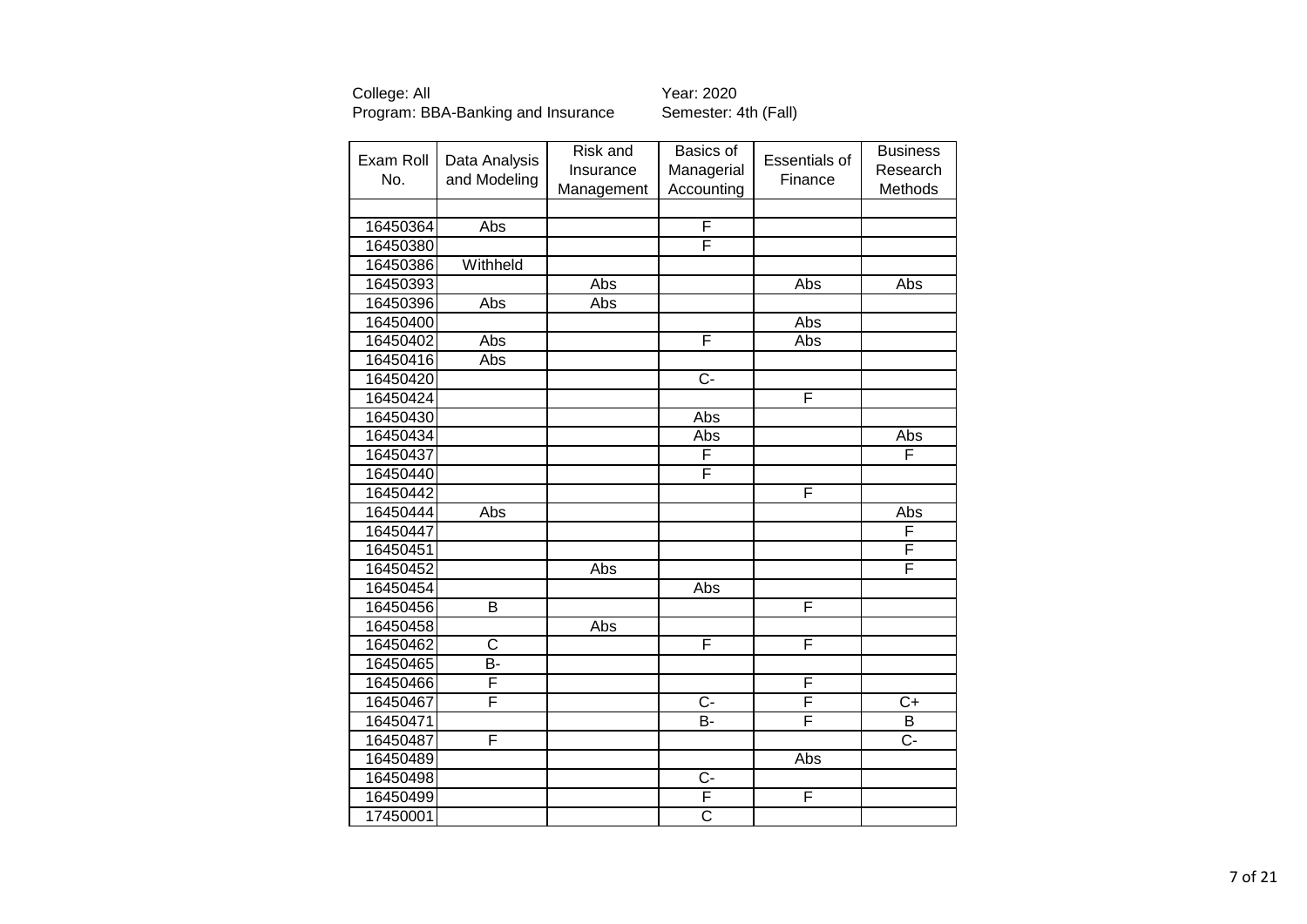| Exam Roll<br>No. | Data Analysis<br>and Modeling | Risk and<br>Insurance<br>Management | Basics of<br>Managerial<br>Accounting | <b>Essentials of</b><br>Finance | <b>Business</b><br>Research<br>Methods |
|------------------|-------------------------------|-------------------------------------|---------------------------------------|---------------------------------|----------------------------------------|
|                  |                               |                                     |                                       |                                 |                                        |
| 16450364         | Abs                           |                                     | F                                     |                                 |                                        |
| 16450380         |                               |                                     | F                                     |                                 |                                        |
| 16450386         | Withheld                      |                                     |                                       |                                 |                                        |
| 16450393         |                               | Abs                                 |                                       | Abs                             | Abs                                    |
| 16450396         | Abs                           | Abs                                 |                                       |                                 |                                        |
| 16450400         |                               |                                     |                                       | Abs                             |                                        |
| 16450402         | Abs                           |                                     | F                                     | Abs                             |                                        |
| 16450416         | Abs                           |                                     |                                       |                                 |                                        |
| 16450420         |                               |                                     | $\overline{C}$                        |                                 |                                        |
| 16450424         |                               |                                     |                                       | F                               |                                        |
| 16450430         |                               |                                     | Abs                                   |                                 |                                        |
| 16450434         |                               |                                     | Abs                                   |                                 | Abs                                    |
| 16450437         |                               |                                     | F                                     |                                 | F                                      |
| 16450440         |                               |                                     | F                                     |                                 |                                        |
| 16450442         |                               |                                     |                                       | F                               |                                        |
| 16450444         | Abs                           |                                     |                                       |                                 | Abs                                    |
| 16450447         |                               |                                     |                                       |                                 | F                                      |
| 16450451         |                               |                                     |                                       |                                 | F                                      |
| 16450452         |                               | Abs                                 |                                       |                                 | F                                      |
| 16450454         |                               |                                     | Abs                                   |                                 |                                        |
| 16450456         | B                             |                                     |                                       | F                               |                                        |
| 16450458         |                               | Abs                                 |                                       |                                 |                                        |
| 16450462         | $\overline{\text{c}}$         |                                     | F                                     | F                               |                                        |
| 16450465         | <b>B-</b>                     |                                     |                                       |                                 |                                        |
| 16450466         | F                             |                                     |                                       | F                               |                                        |
| 16450467         | F                             |                                     | $\overline{C}$ -                      | F                               | $\overline{C}$                         |
| 16450471         |                               |                                     | B-                                    | F                               | B                                      |
| 16450487         | F                             |                                     |                                       |                                 | $C -$                                  |
| 16450489         |                               |                                     |                                       | Abs                             |                                        |
| 16450498         |                               |                                     | $C -$                                 |                                 |                                        |
| 16450499         |                               |                                     | F                                     | F                               |                                        |
| 17450001         |                               |                                     | $\overline{\text{c}}$                 |                                 |                                        |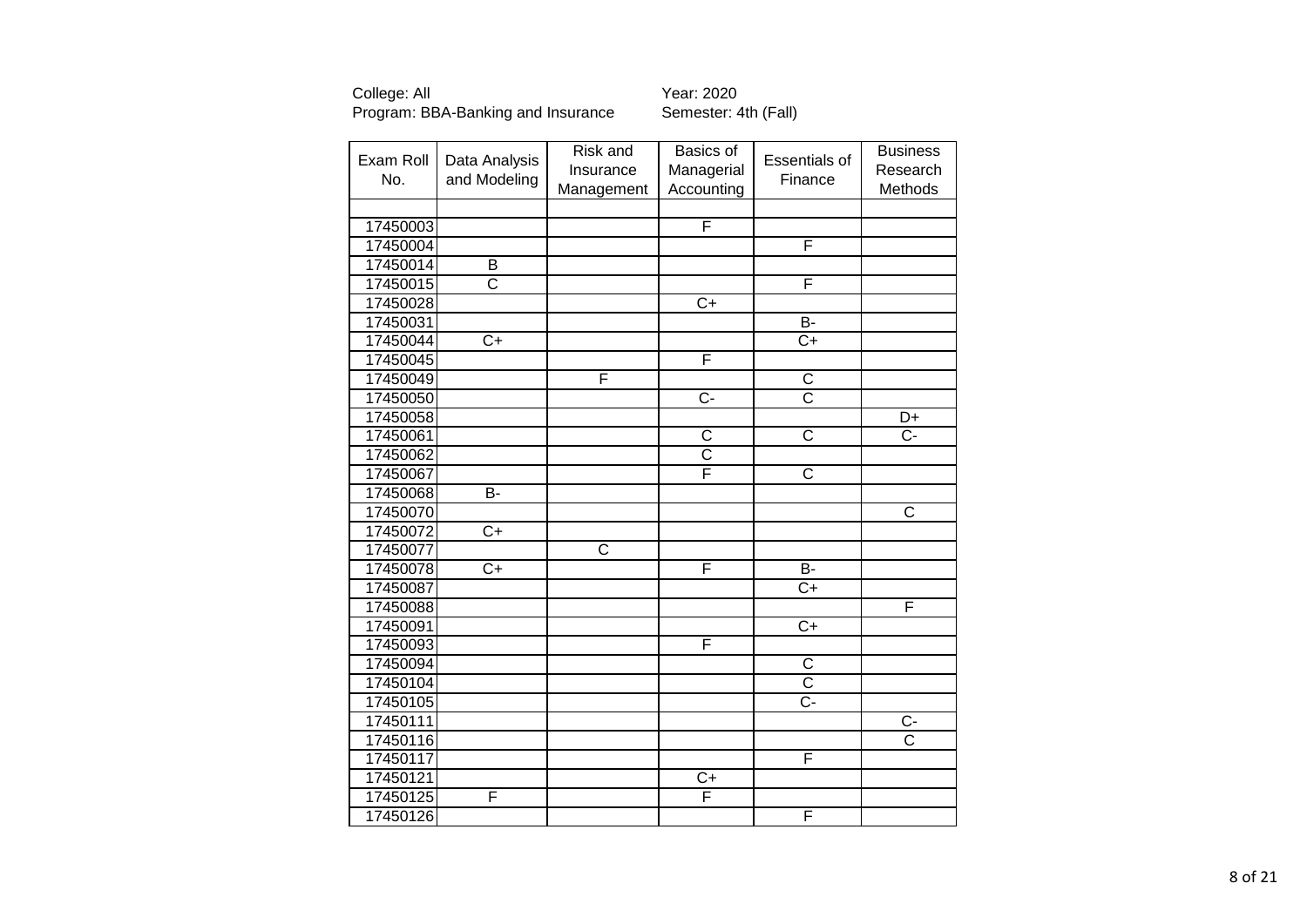|           |                       | Risk and              | Basics of      |                       | <b>Business</b>       |
|-----------|-----------------------|-----------------------|----------------|-----------------------|-----------------------|
| Exam Roll | Data Analysis         | Insurance             | Managerial     | Essentials of         | Research              |
| No.       | and Modeling          | Management            | Accounting     | Finance               | Methods               |
|           |                       |                       |                |                       |                       |
| 17450003  |                       |                       | F              |                       |                       |
| 17450004  |                       |                       |                | F                     |                       |
| 17450014  | B                     |                       |                |                       |                       |
| 17450015  | $\overline{\text{C}}$ |                       |                | $\overline{F}$        |                       |
| 17450028  |                       |                       | $\overline{C}$ |                       |                       |
| 17450031  |                       |                       |                | $\overline{B}$        |                       |
| 17450044  | $\overline{C}$        |                       |                | $\overline{C}$        |                       |
| 17450045  |                       |                       | F              |                       |                       |
| 17450049  |                       | F                     |                | C                     |                       |
| 17450050  |                       |                       | $\overline{C}$ | $\overline{\text{c}}$ |                       |
| 17450058  |                       |                       |                |                       | D+                    |
| 17450061  |                       |                       | $\overline{C}$ | $\overline{\text{c}}$ | $\overline{C}$ -      |
| 17450062  |                       |                       | $rac{C}{F}$    |                       |                       |
| 17450067  |                       |                       |                | $\overline{\text{c}}$ |                       |
| 17450068  | B-                    |                       |                |                       |                       |
| 17450070  |                       |                       |                |                       | $\mathsf{C}$          |
| 17450072  | $\overline{C+}$       |                       |                |                       |                       |
| 17450077  |                       | $\overline{\text{c}}$ |                |                       |                       |
| 17450078  | $\overline{C+}$       |                       | F              | $\overline{B}$        |                       |
| 17450087  |                       |                       |                | $C+$                  |                       |
| 17450088  |                       |                       |                |                       | F                     |
| 17450091  |                       |                       |                | $C+$                  |                       |
| 17450093  |                       |                       | F              |                       |                       |
| 17450094  |                       |                       |                | $rac{C}{C}$           |                       |
| 17450104  |                       |                       |                |                       |                       |
| 17450105  |                       |                       |                | $\overline{C}$ -      |                       |
| 17450111  |                       |                       |                |                       | $\overline{C}$        |
| 17450116  |                       |                       |                |                       | $\overline{\text{c}}$ |
| 17450117  |                       |                       |                | F                     |                       |
| 17450121  |                       |                       | $C+$           |                       |                       |
| 17450125  | F                     |                       | F              |                       |                       |
| 17450126  |                       |                       |                | F                     |                       |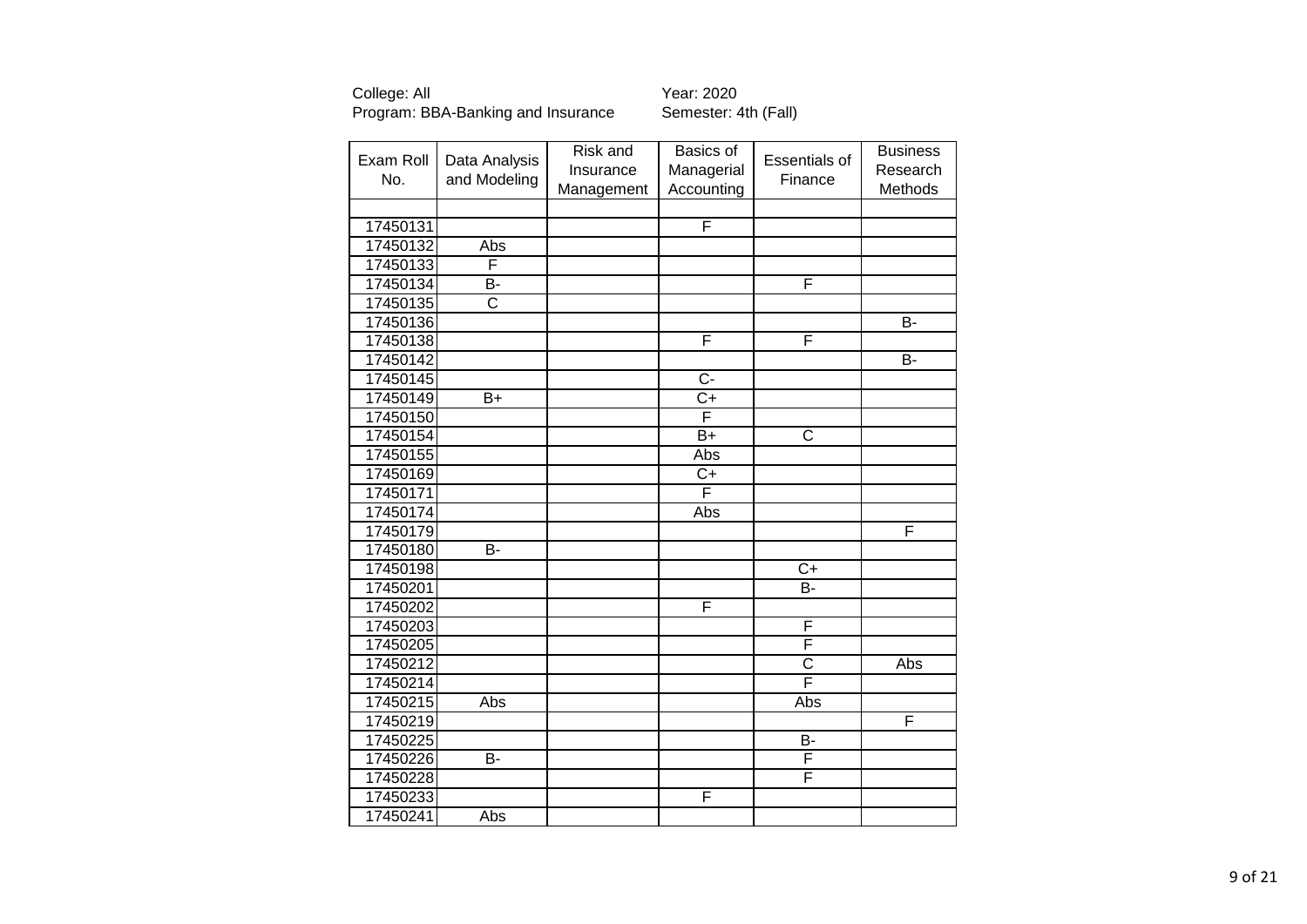| Exam Roll<br>No.     | Data Analysis<br>and Modeling | Risk and<br>Insurance | Basics of<br>Managerial | Essentials of<br>Finance | <b>Business</b><br>Research |
|----------------------|-------------------------------|-----------------------|-------------------------|--------------------------|-----------------------------|
|                      |                               | Management            | Accounting              |                          | Methods                     |
|                      |                               |                       | F                       |                          |                             |
| 17450131<br>17450132 | Abs                           |                       |                         |                          |                             |
| 17450133             | F                             |                       |                         |                          |                             |
| 17450134             | B-                            |                       |                         | F                        |                             |
| 17450135             | $\overline{\text{C}}$         |                       |                         |                          |                             |
| 17450136             |                               |                       |                         |                          | B-                          |
| 17450138             |                               |                       | F                       | F                        |                             |
| 17450142             |                               |                       |                         |                          | B-                          |
| 17450145             |                               |                       | $\overline{C}$          |                          |                             |
| 17450149             | B+                            |                       | $C+$                    |                          |                             |
| 17450150             |                               |                       | F                       |                          |                             |
| 17450154             |                               |                       | $B+$                    | C                        |                             |
| 17450155             |                               |                       | Abs                     |                          |                             |
| 17450169             |                               |                       | $C+$                    |                          |                             |
| 17450171             |                               |                       | F                       |                          |                             |
| 17450174             |                               |                       | Abs                     |                          |                             |
| 17450179             |                               |                       |                         |                          | F                           |
| 17450180             | B-                            |                       |                         |                          |                             |
| 17450198             |                               |                       |                         | $C+$                     |                             |
| 17450201             |                               |                       |                         | B-                       |                             |
| 17450202             |                               |                       | F                       |                          |                             |
| 17450203             |                               |                       |                         | F                        |                             |
| 17450205             |                               |                       |                         | F                        |                             |
| 17450212             |                               |                       |                         | $\overline{\text{c}}$    | Abs                         |
| 17450214             |                               |                       |                         | $\overline{\mathsf{F}}$  |                             |
| 17450215             | Abs                           |                       |                         | Abs                      |                             |
| 17450219             |                               |                       |                         |                          | F                           |
| 17450225             |                               |                       |                         | <b>B-</b>                |                             |
| 17450226             | $\overline{B}$                |                       |                         | F                        |                             |
| 17450228             |                               |                       |                         | F                        |                             |
| 17450233             |                               |                       | F                       |                          |                             |
| 17450241             | Abs                           |                       |                         |                          |                             |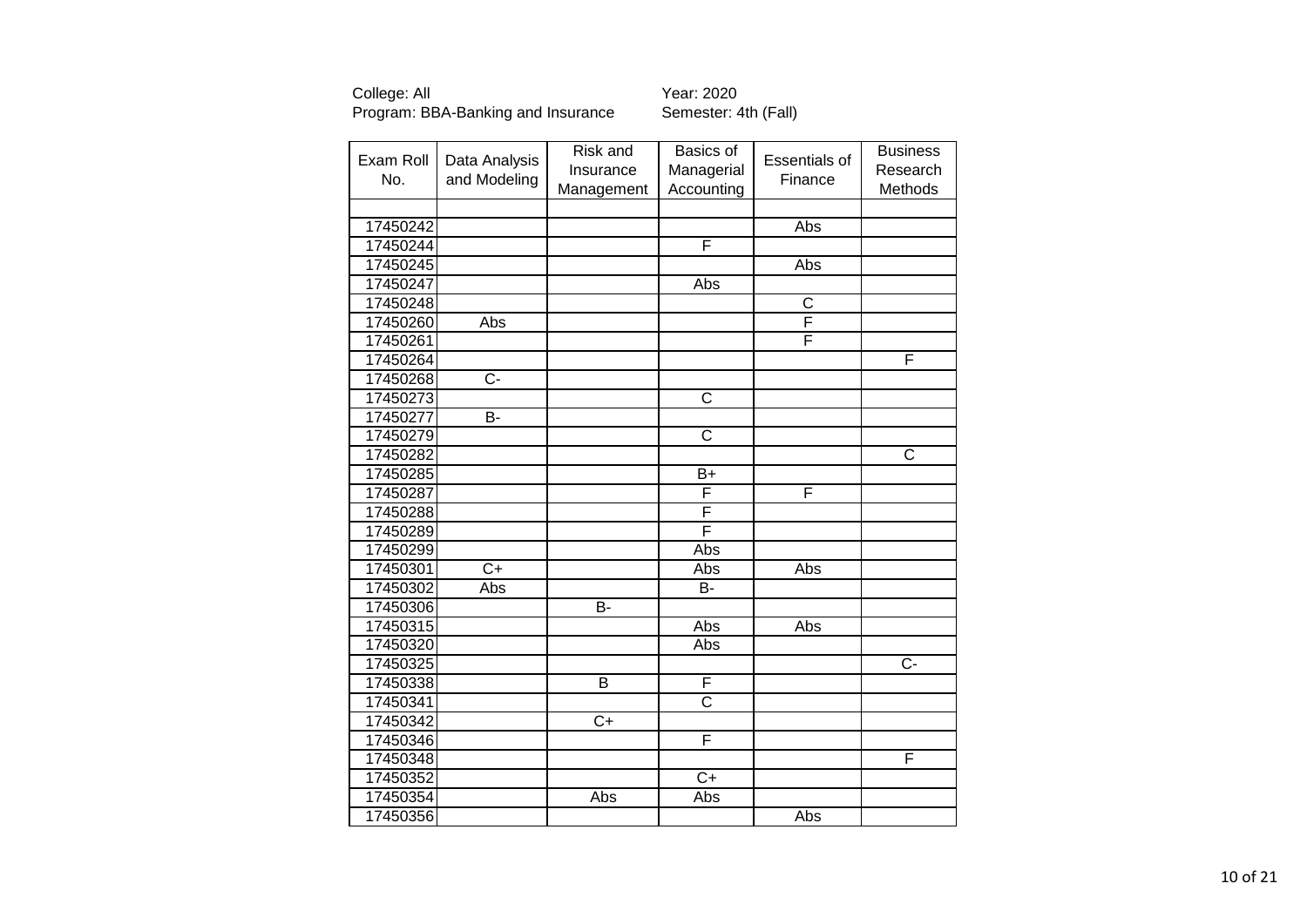| Exam Roll | Data Analysis   | Risk and<br>Insurance | Basics of<br>Managerial | <b>Essentials of</b>  | <b>Business</b><br>Research |
|-----------|-----------------|-----------------------|-------------------------|-----------------------|-----------------------------|
| No.       | and Modeling    | Management            | Accounting              | Finance               | Methods                     |
|           |                 |                       |                         |                       |                             |
| 17450242  |                 |                       |                         | Abs                   |                             |
| 17450244  |                 |                       | F                       |                       |                             |
| 17450245  |                 |                       |                         | Abs                   |                             |
| 17450247  |                 |                       | Abs                     |                       |                             |
| 17450248  |                 |                       |                         | $\overline{\text{c}}$ |                             |
| 17450260  | Abs             |                       |                         | F                     |                             |
| 17450261  |                 |                       |                         | F                     |                             |
| 17450264  |                 |                       |                         |                       | F                           |
| 17450268  | $C -$           |                       |                         |                       |                             |
| 17450273  |                 |                       | $\overline{C}$          |                       |                             |
| 17450277  | B-              |                       |                         |                       |                             |
| 17450279  |                 |                       | $\overline{\text{c}}$   |                       |                             |
| 17450282  |                 |                       |                         |                       | C                           |
| 17450285  |                 |                       | $B+$                    |                       |                             |
| 17450287  |                 |                       | F                       | F                     |                             |
| 17450288  |                 |                       | F                       |                       |                             |
| 17450289  |                 |                       | F                       |                       |                             |
| 17450299  |                 |                       | Abs                     |                       |                             |
| 17450301  | $\overline{C+}$ |                       | Abs                     | Abs                   |                             |
| 17450302  | Abs             |                       | B-                      |                       |                             |
| 17450306  |                 | $\overline{B}$        |                         |                       |                             |
| 17450315  |                 |                       | Abs                     | Abs                   |                             |
| 17450320  |                 |                       | Abs                     |                       |                             |
| 17450325  |                 |                       |                         |                       | $\overline{C}$              |
| 17450338  |                 | B                     | F                       |                       |                             |
| 17450341  |                 |                       | $\overline{\text{c}}$   |                       |                             |
| 17450342  |                 | $C+$                  |                         |                       |                             |
| 17450346  |                 |                       | F                       |                       |                             |
| 17450348  |                 |                       |                         |                       | F                           |
| 17450352  |                 |                       | $C+$                    |                       |                             |
| 17450354  |                 | Abs                   | Abs                     |                       |                             |
| 17450356  |                 |                       |                         | Abs                   |                             |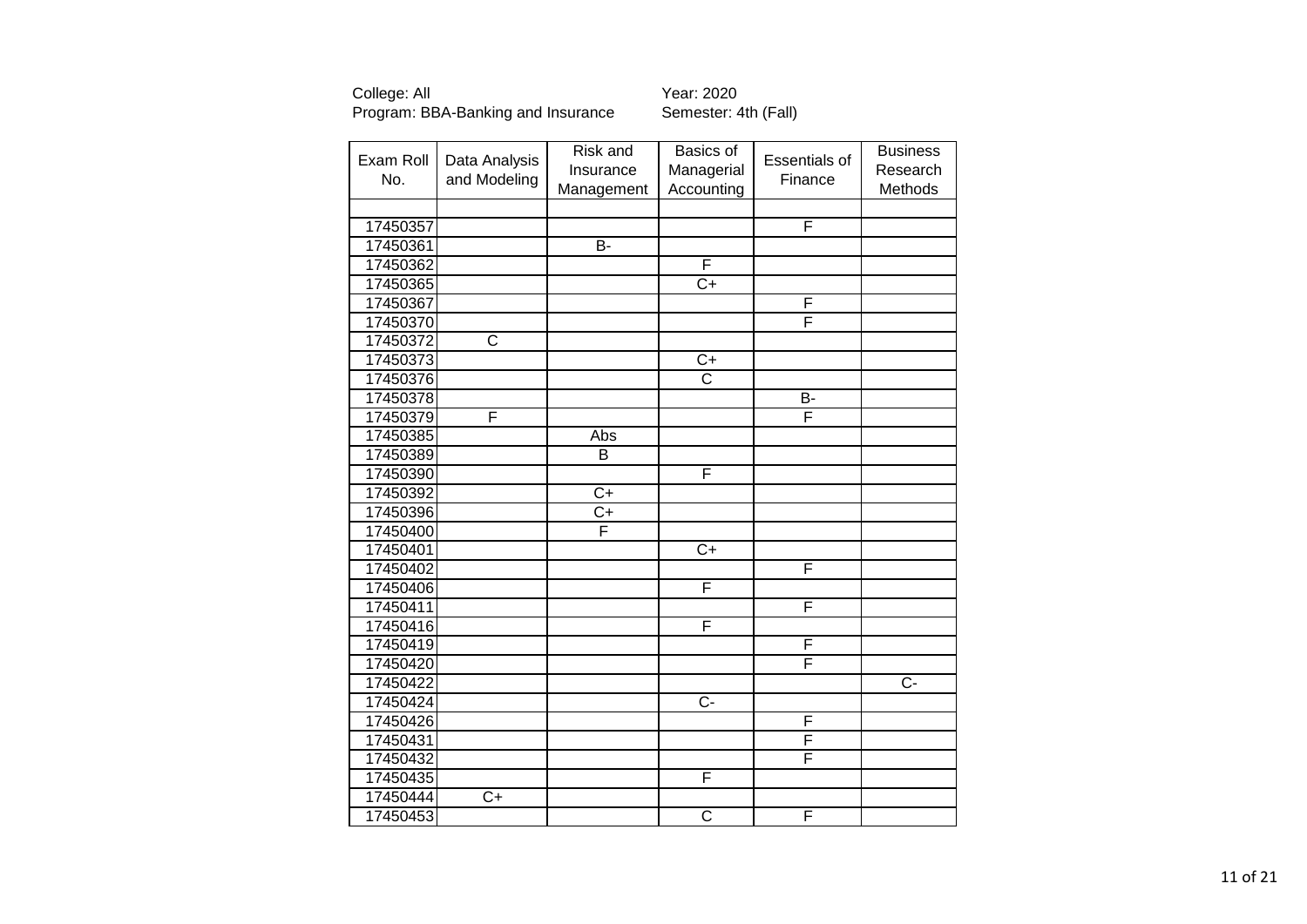| Exam Roll |                       | Risk and       | Basics of             | <b>Essentials of</b> | <b>Business</b> |
|-----------|-----------------------|----------------|-----------------------|----------------------|-----------------|
| No.       | Data Analysis         | Insurance      | Managerial            |                      | Research        |
|           | and Modeling          | Management     | Accounting            | Finance              | Methods         |
|           |                       |                |                       |                      |                 |
| 17450357  |                       |                |                       | F                    |                 |
| 17450361  |                       | $\overline{B}$ |                       |                      |                 |
| 17450362  |                       |                | F                     |                      |                 |
| 17450365  |                       |                | $C+$                  |                      |                 |
| 17450367  |                       |                |                       | F                    |                 |
| 17450370  |                       |                |                       | F                    |                 |
| 17450372  | $\overline{\text{c}}$ |                |                       |                      |                 |
| 17450373  |                       |                | $\overline{C+}$       |                      |                 |
| 17450376  |                       |                | $\overline{\text{c}}$ |                      |                 |
| 17450378  |                       |                |                       | <b>B-</b>            |                 |
| 17450379  | F                     |                |                       | F                    |                 |
| 17450385  |                       | Abs            |                       |                      |                 |
| 17450389  |                       | B              |                       |                      |                 |
| 17450390  |                       |                | F                     |                      |                 |
| 17450392  |                       | $C+$           |                       |                      |                 |
| 17450396  |                       | $C+$           |                       |                      |                 |
| 17450400  |                       | F              |                       |                      |                 |
| 17450401  |                       |                | $C+$                  |                      |                 |
| 17450402  |                       |                |                       | F                    |                 |
| 17450406  |                       |                | F                     |                      |                 |
| 17450411  |                       |                |                       | F                    |                 |
| 17450416  |                       |                | F                     |                      |                 |
| 17450419  |                       |                |                       | F                    |                 |
| 17450420  |                       |                |                       | F                    |                 |
| 17450422  |                       |                |                       |                      | $\overline{C}$  |
| 17450424  |                       |                | $\overline{C}$        |                      |                 |
| 17450426  |                       |                |                       | F                    |                 |
| 17450431  |                       |                |                       | F                    |                 |
| 17450432  |                       |                |                       | F                    |                 |
| 17450435  |                       |                | F                     |                      |                 |
| 17450444  | $C+$                  |                |                       |                      |                 |
| 17450453  |                       |                | $\overline{\text{c}}$ | F                    |                 |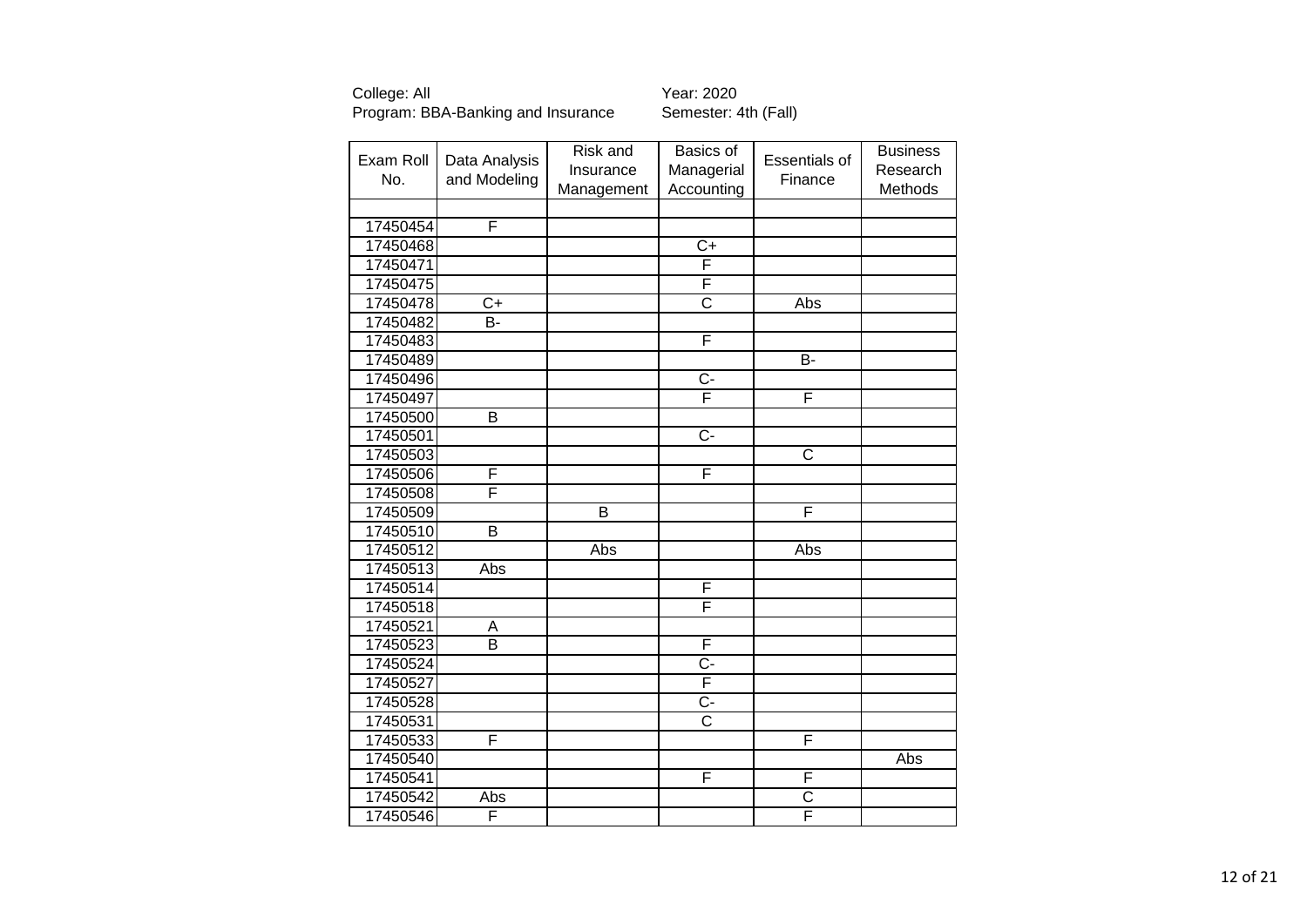| Exam Roll<br>No. | Data Analysis<br>and Modeling | Risk and<br>Insurance<br>Management | Basics of<br>Managerial<br>Accounting | <b>Essentials of</b><br>Finance | <b>Business</b><br>Research<br>Methods |
|------------------|-------------------------------|-------------------------------------|---------------------------------------|---------------------------------|----------------------------------------|
|                  |                               |                                     |                                       |                                 |                                        |
| 17450454         | F                             |                                     |                                       |                                 |                                        |
| 17450468         |                               |                                     | $\overline{C+}$                       |                                 |                                        |
| 17450471         |                               |                                     | F                                     |                                 |                                        |
| 17450475         |                               |                                     | F                                     |                                 |                                        |
| 17450478         | $\overline{C}$                |                                     | $\overline{\text{c}}$                 | Abs                             |                                        |
| 17450482         | B-                            |                                     |                                       |                                 |                                        |
| 17450483         |                               |                                     | F                                     |                                 |                                        |
| 17450489         |                               |                                     |                                       | $\overline{B}$                  |                                        |
| 17450496         |                               |                                     | $\overline{C}$                        |                                 |                                        |
| 17450497         |                               |                                     | F                                     | F                               |                                        |
| 17450500         | B                             |                                     |                                       |                                 |                                        |
| 17450501         |                               |                                     | $\overline{C}$                        |                                 |                                        |
| 17450503         |                               |                                     |                                       | C                               |                                        |
| 17450506         | F                             |                                     | F                                     |                                 |                                        |
| 17450508         | F                             |                                     |                                       |                                 |                                        |
| 17450509         |                               | B                                   |                                       | F                               |                                        |
| 17450510         | $\overline{B}$                |                                     |                                       |                                 |                                        |
| 17450512         |                               | Abs                                 |                                       | Abs                             |                                        |
| 17450513         | Abs                           |                                     |                                       |                                 |                                        |
| 17450514         |                               |                                     | F                                     |                                 |                                        |
| 17450518         |                               |                                     | F                                     |                                 |                                        |
| 17450521         | A                             |                                     |                                       |                                 |                                        |
| 17450523         | $\overline{B}$                |                                     | F                                     |                                 |                                        |
| 17450524         |                               |                                     | C-                                    |                                 |                                        |
| 17450527         |                               |                                     | F                                     |                                 |                                        |
| 17450528         |                               |                                     | $\overline{C}$ -                      |                                 |                                        |
| 17450531         |                               |                                     | $\overline{\text{c}}$                 |                                 |                                        |
| 17450533         | F                             |                                     |                                       | F                               |                                        |
| 17450540         |                               |                                     |                                       |                                 | Abs                                    |
| 17450541         |                               |                                     | F                                     | F                               |                                        |
| 17450542         | Abs                           |                                     |                                       | $\overline{\text{c}}$           |                                        |
| 17450546         | F                             |                                     |                                       | F                               |                                        |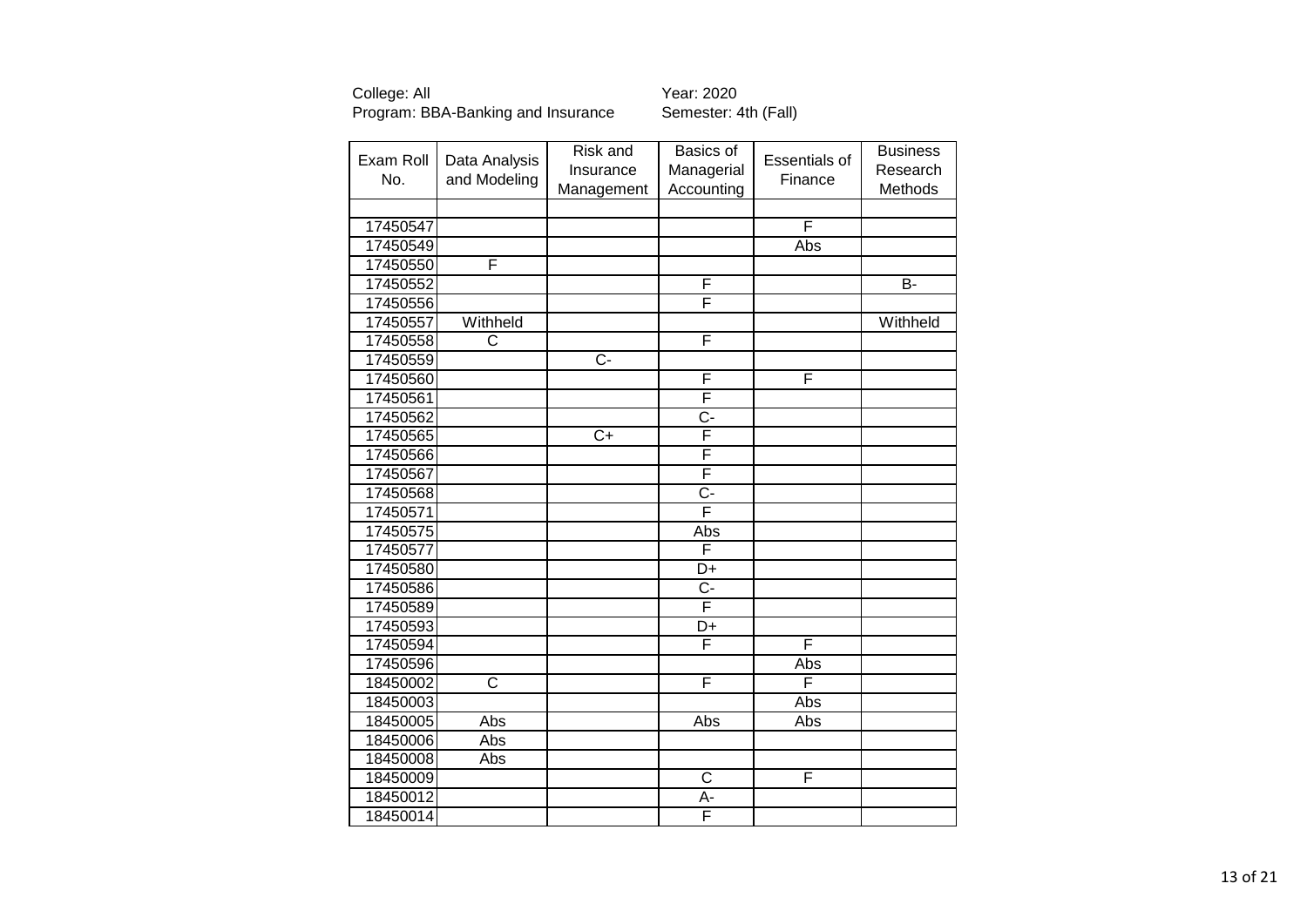| Exam Roll | Data Analysis<br>and Modeling | Risk and         | Basics of        | Essentials of | <b>Business</b> |
|-----------|-------------------------------|------------------|------------------|---------------|-----------------|
| No.       |                               | Insurance        | Managerial       | Finance       | Research        |
|           |                               | Management       | Accounting       |               | Methods         |
|           |                               |                  |                  |               |                 |
| 17450547  |                               |                  |                  | F             |                 |
| 17450549  |                               |                  |                  | Abs           |                 |
| 17450550  | F                             |                  |                  |               |                 |
| 17450552  |                               |                  | F                |               | $\overline{B}$  |
| 17450556  |                               |                  | F                |               |                 |
| 17450557  | Withheld                      |                  |                  |               | Withheld        |
| 17450558  | C                             |                  | F                |               |                 |
| 17450559  |                               | $\overline{C}$ - |                  |               |                 |
| 17450560  |                               |                  | F                | F             |                 |
| 17450561  |                               |                  | F                |               |                 |
| 17450562  |                               |                  | $\overline{C}$ - |               |                 |
| 17450565  |                               | $\overline{C}$   | F                |               |                 |
| 17450566  |                               |                  | F                |               |                 |
| 17450567  |                               |                  | F                |               |                 |
| 17450568  |                               |                  | $\overline{C}$ - |               |                 |
| 17450571  |                               |                  | F                |               |                 |
| 17450575  |                               |                  | Abs              |               |                 |
| 17450577  |                               |                  | F                |               |                 |
| 17450580  |                               |                  | D+               |               |                 |
| 17450586  |                               |                  | C-               |               |                 |
| 17450589  |                               |                  | F                |               |                 |
| 17450593  |                               |                  | D+               |               |                 |
| 17450594  |                               |                  | F                | F             |                 |
| 17450596  |                               |                  |                  | Abs           |                 |
| 18450002  | $\overline{\text{c}}$         |                  | F                | F             |                 |
| 18450003  |                               |                  |                  | Abs           |                 |
| 18450005  | Abs                           |                  | Abs              | Abs           |                 |
| 18450006  | Abs                           |                  |                  |               |                 |
| 18450008  | Abs                           |                  |                  |               |                 |
| 18450009  |                               |                  | C                | F             |                 |
| 18450012  |                               |                  | А-               |               |                 |
| 18450014  |                               |                  | F                |               |                 |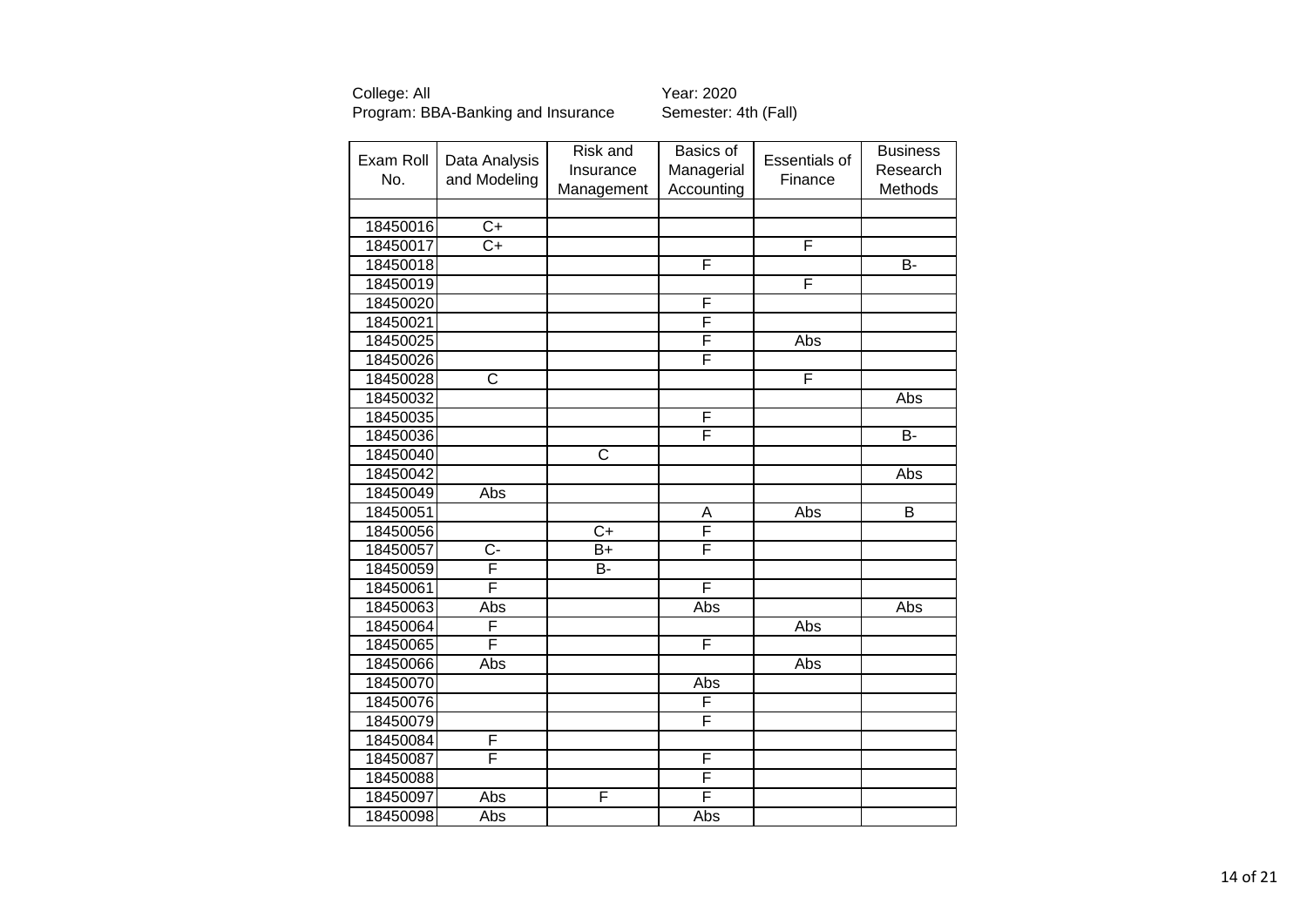| Exam Roll | Data Analysis         | Risk and              | Basics of  | Essentials of | <b>Business</b> |
|-----------|-----------------------|-----------------------|------------|---------------|-----------------|
| No.       | and Modeling          | Insurance             | Managerial | Finance       | Research        |
|           |                       | Management            | Accounting |               | Methods         |
|           |                       |                       |            |               |                 |
| 18450016  | $\overline{C+}$       |                       |            |               |                 |
| 18450017  | $\overline{C+}$       |                       |            | F             |                 |
| 18450018  |                       |                       | F          |               | $\overline{B}$  |
| 18450019  |                       |                       |            | F             |                 |
| 18450020  |                       |                       | F          |               |                 |
| 18450021  |                       |                       | F          |               |                 |
| 18450025  |                       |                       | F          | Abs           |                 |
| 18450026  |                       |                       | F          |               |                 |
| 18450028  | $\overline{\text{C}}$ |                       |            | F             |                 |
| 18450032  |                       |                       |            |               | Abs             |
| 18450035  |                       |                       | F          |               |                 |
| 18450036  |                       |                       | F          |               | $B -$           |
| 18450040  |                       | $\overline{\text{C}}$ |            |               |                 |
| 18450042  |                       |                       |            |               | Abs             |
| 18450049  | Abs                   |                       |            |               |                 |
| 18450051  |                       |                       | A          | Abs           | $\overline{B}$  |
| 18450056  |                       | $\overline{C}$        | F          |               |                 |
| 18450057  | $C -$                 | B+                    | F          |               |                 |
| 18450059  | F                     | B-                    |            |               |                 |
| 18450061  | F                     |                       | F          |               |                 |
| 18450063  | Abs                   |                       | Abs        |               | Abs             |
| 18450064  | F                     |                       |            | Abs           |                 |
| 18450065  | F                     |                       | F          |               |                 |
| 18450066  | Abs                   |                       |            | Abs           |                 |
| 18450070  |                       |                       | Abs        |               |                 |
| 18450076  |                       |                       | F          |               |                 |
| 18450079  |                       |                       | F          |               |                 |
| 18450084  | F                     |                       |            |               |                 |
| 18450087  | F                     |                       | F          |               |                 |
| 18450088  |                       |                       | F          |               |                 |
| 18450097  | Abs                   | F                     | F          |               |                 |
| 18450098  | Abs                   |                       | Abs        |               |                 |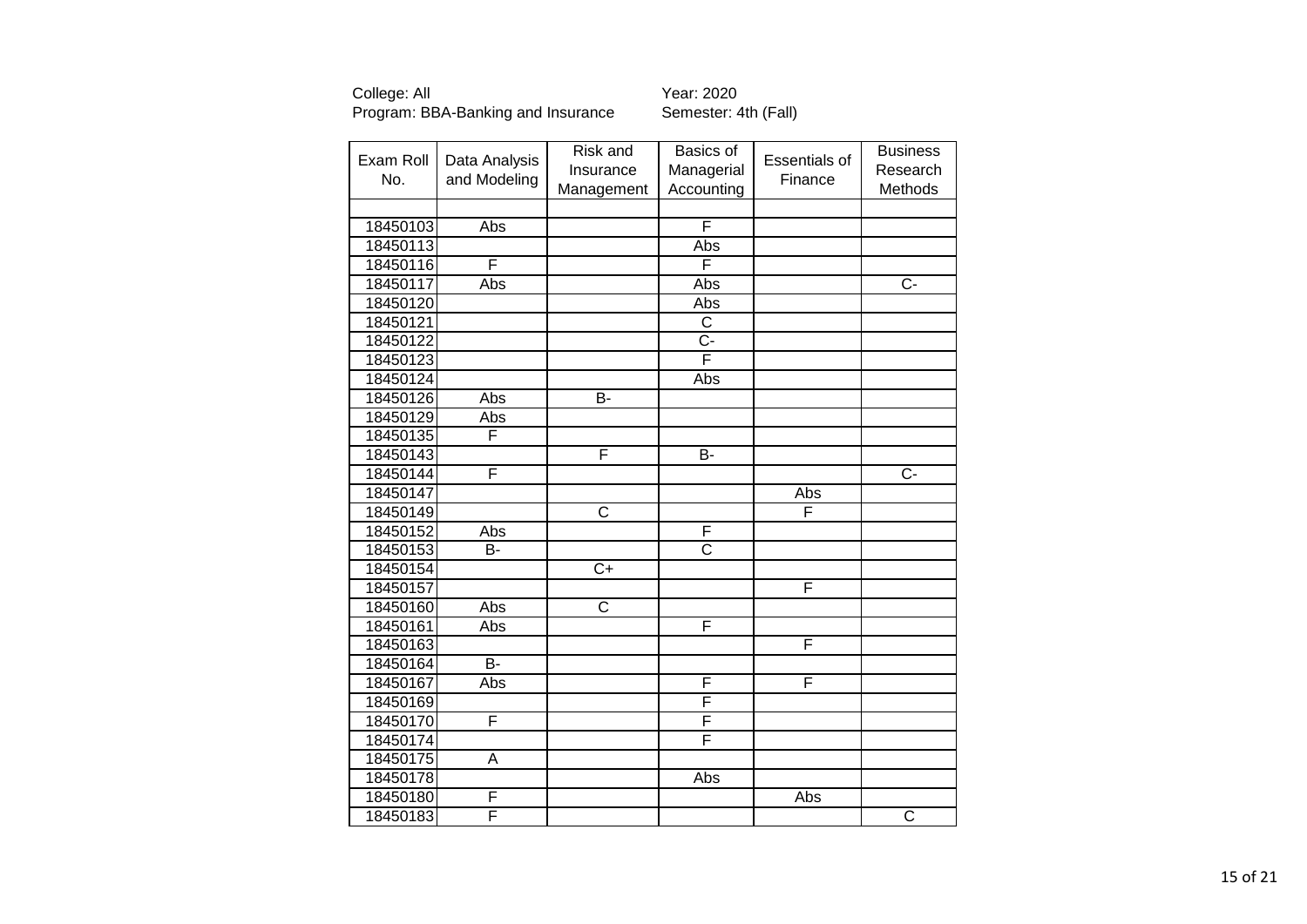| Exam Roll | Data Analysis  | Risk and              | Basics of               | Essentials of | <b>Business</b>         |
|-----------|----------------|-----------------------|-------------------------|---------------|-------------------------|
|           |                | Insurance             | Managerial              |               | Research                |
| No.       | and Modeling   | Management            | Accounting              | Finance       | Methods                 |
|           |                |                       |                         |               |                         |
| 18450103  | Abs            |                       | F                       |               |                         |
| 18450113  |                |                       | Abs                     |               |                         |
| 18450116  | F              |                       | F                       |               |                         |
| 18450117  | Abs            |                       | Abs                     |               | $C -$                   |
| 18450120  |                |                       | Abs                     |               |                         |
| 18450121  |                |                       | $\overline{C}$          |               |                         |
| 18450122  |                |                       | $\overline{C}$          |               |                         |
| 18450123  |                |                       | $\overline{\mathsf{F}}$ |               |                         |
| 18450124  |                |                       | Abs                     |               |                         |
| 18450126  | Abs            | B-                    |                         |               |                         |
| 18450129  | Abs            |                       |                         |               |                         |
| 18450135  | F              |                       |                         |               |                         |
| 18450143  |                | F                     | B-                      |               |                         |
| 18450144  | F              |                       |                         |               | $\overline{C}$          |
| 18450147  |                |                       |                         | Abs           |                         |
| 18450149  |                | C                     |                         | F             |                         |
| 18450152  | Abs            |                       | F                       |               |                         |
| 18450153  | B-             |                       | $\overline{\text{c}}$   |               |                         |
| 18450154  |                | $\overline{C+}$       |                         |               |                         |
| 18450157  |                |                       |                         | F             |                         |
| 18450160  | Abs            | $\overline{\text{c}}$ |                         |               |                         |
| 18450161  | Abs            |                       | F                       |               |                         |
| 18450163  |                |                       |                         | F             |                         |
| 18450164  | $\overline{B}$ |                       |                         |               |                         |
| 18450167  | Abs            |                       | F                       | F             |                         |
| 18450169  |                |                       | F                       |               |                         |
| 18450170  | F              |                       | F                       |               |                         |
| 18450174  |                |                       | F                       |               |                         |
| 18450175  | A              |                       |                         |               |                         |
| 18450178  |                |                       | Abs                     |               |                         |
| 18450180  | F              |                       |                         | Abs           |                         |
| 18450183  | F              |                       |                         |               | $\overline{\mathsf{C}}$ |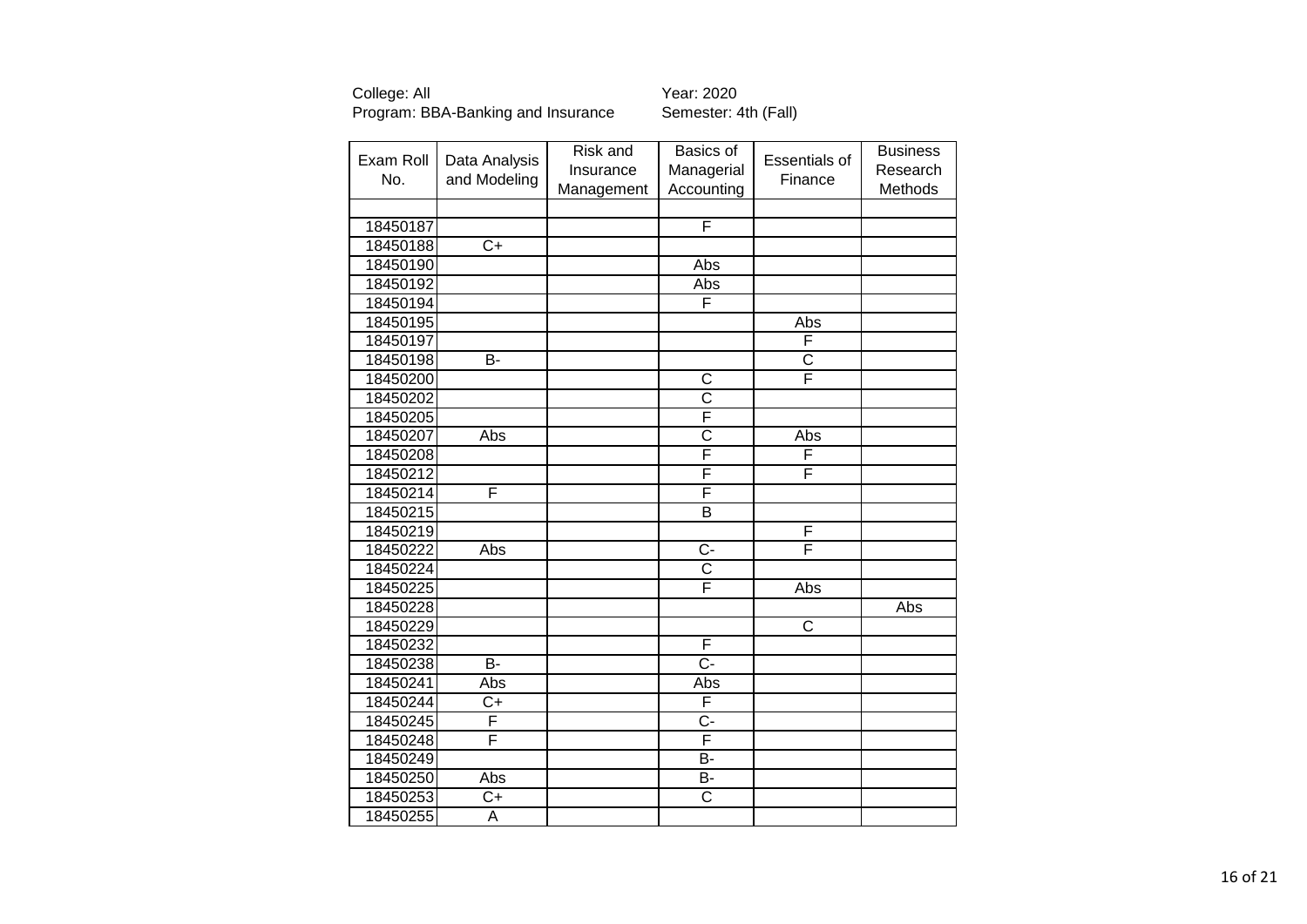| Exam Roll    | Data Analysis   | Risk and   | Basics of               | Essentials of         | <b>Business</b> |
|--------------|-----------------|------------|-------------------------|-----------------------|-----------------|
| No.          |                 | Insurance  | Managerial              |                       | Research        |
| and Modeling | Management      | Accounting | Finance                 | Methods               |                 |
|              |                 |            |                         |                       |                 |
| 18450187     |                 |            | F                       |                       |                 |
| 18450188     | $\overline{C+}$ |            |                         |                       |                 |
| 18450190     |                 |            | Abs                     |                       |                 |
| 18450192     |                 |            | Abs                     |                       |                 |
| 18450194     |                 |            | F                       |                       |                 |
| 18450195     |                 |            |                         | Abs                   |                 |
| 18450197     |                 |            |                         | F                     |                 |
| 18450198     | $\overline{B}$  |            |                         | $\overline{\text{c}}$ |                 |
| 18450200     |                 |            | C                       | F                     |                 |
| 18450202     |                 |            | $\overline{\text{c}}$   |                       |                 |
| 18450205     |                 |            | F                       |                       |                 |
| 18450207     | Abs             |            | $\overline{\text{c}}$   | Abs                   |                 |
| 18450208     |                 |            | F                       | F                     |                 |
| 18450212     |                 |            | F                       | F                     |                 |
| 18450214     | F               |            | F                       |                       |                 |
| 18450215     |                 |            | $\overline{\mathsf{B}}$ |                       |                 |
| 18450219     |                 |            |                         | F                     |                 |
| 18450222     | Abs             |            | $C -$                   | F                     |                 |
| 18450224     |                 |            | $\overline{\text{c}}$   |                       |                 |
| 18450225     |                 |            | F                       | <b>Abs</b>            |                 |
| 18450228     |                 |            |                         |                       | Abs             |
| 18450229     |                 |            |                         | $\overline{\text{c}}$ |                 |
| 18450232     |                 |            | F                       |                       |                 |
| 18450238     | <b>B-</b>       |            | $\overline{C}$ -        |                       |                 |
| 18450241     | Abs             |            | Abs                     |                       |                 |
| 18450244     | $\overline{C}$  |            | F                       |                       |                 |
| 18450245     | F               |            | $C -$                   |                       |                 |
| 18450248     | F               |            | F                       |                       |                 |
| 18450249     |                 |            | B-                      |                       |                 |
| 18450250     | Abs             |            | B-                      |                       |                 |
| 18450253     | $C+$            |            | $\overline{\text{c}}$   |                       |                 |
| 18450255     | A               |            |                         |                       |                 |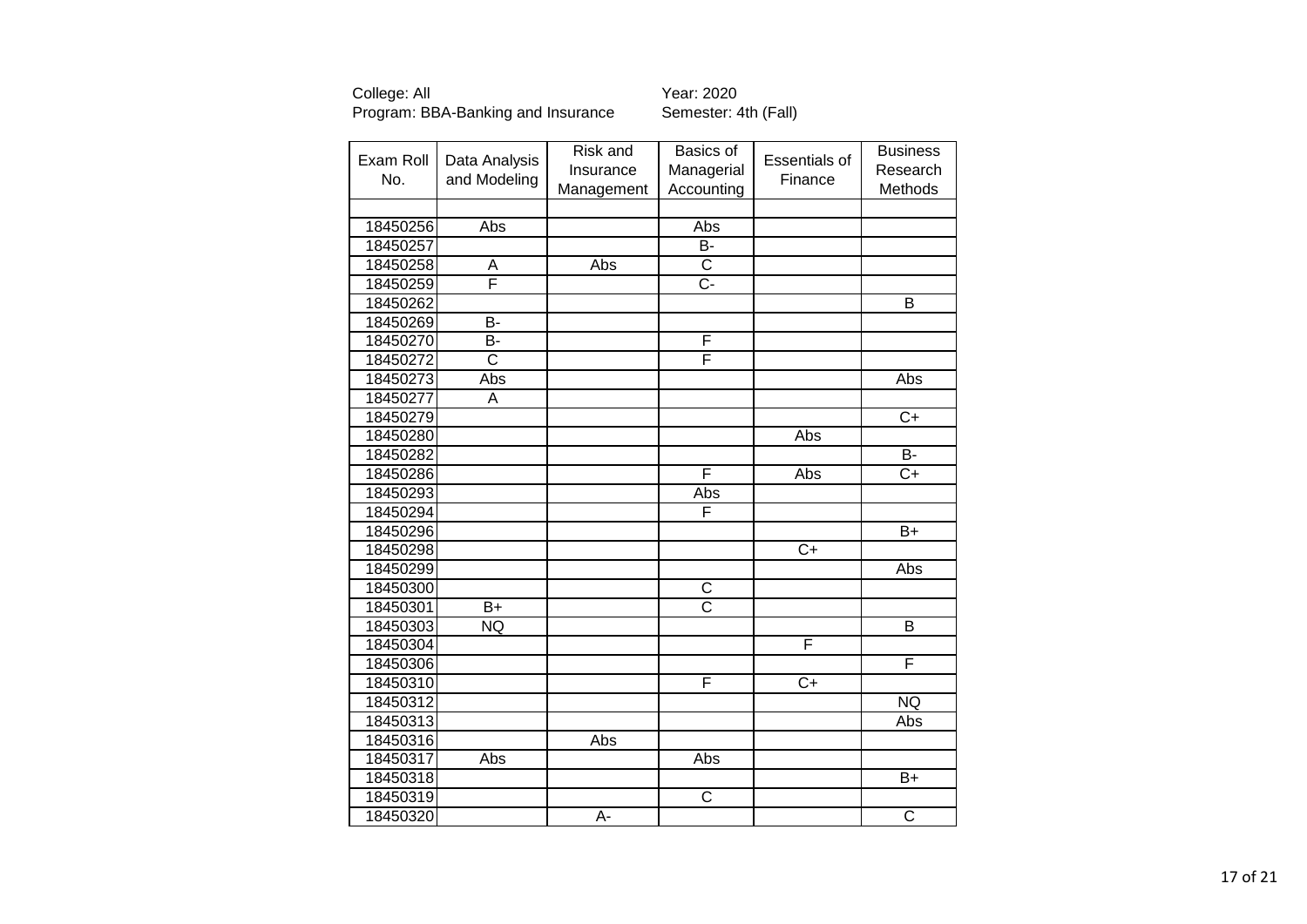| Exam Roll | Data Analysis         | Risk and         | Basics of             | Essentials of   | <b>Business</b>       |
|-----------|-----------------------|------------------|-----------------------|-----------------|-----------------------|
| No.       |                       | Insurance        | Managerial            |                 | Research              |
|           | and Modeling          | Management       | Accounting            | Finance         | Methods               |
|           |                       |                  |                       |                 |                       |
| 18450256  | Abs                   |                  | Abs                   |                 |                       |
| 18450257  |                       |                  | $\overline{B}$        |                 |                       |
| 18450258  | Α                     | Abs              | $\overline{C}$        |                 |                       |
| 18450259  | F                     |                  | Ċ-                    |                 |                       |
| 18450262  |                       |                  |                       |                 | $\overline{B}$        |
| 18450269  | B-                    |                  |                       |                 |                       |
| 18450270  | <b>B-</b>             |                  | F                     |                 |                       |
| 18450272  | $\overline{\text{c}}$ |                  | F                     |                 |                       |
| 18450273  | Abs                   |                  |                       |                 | Abs                   |
| 18450277  | A                     |                  |                       |                 |                       |
| 18450279  |                       |                  |                       |                 | $\overline{C}$        |
| 18450280  |                       |                  |                       | Abs             |                       |
| 18450282  |                       |                  |                       |                 | <b>B-</b>             |
| 18450286  |                       |                  | F                     | Abs             | $\overline{C+}$       |
| 18450293  |                       |                  | Abs                   |                 |                       |
| 18450294  |                       |                  | F                     |                 |                       |
| 18450296  |                       |                  |                       |                 | $\overline{B+}$       |
| 18450298  |                       |                  |                       | $\overline{C+}$ |                       |
| 18450299  |                       |                  |                       |                 | Abs                   |
| 18450300  |                       |                  | $\overline{\text{C}}$ |                 |                       |
| 18450301  | $\overline{B+}$       |                  | $\overline{\text{c}}$ |                 |                       |
| 18450303  | <b>NQ</b>             |                  |                       |                 | B                     |
| 18450304  |                       |                  |                       | F               |                       |
| 18450306  |                       |                  |                       |                 | F                     |
| 18450310  |                       |                  | F                     | $\overline{C+}$ |                       |
| 18450312  |                       |                  |                       |                 | NQ                    |
| 18450313  |                       |                  |                       |                 | Abs                   |
| 18450316  |                       | Abs              |                       |                 |                       |
| 18450317  | Abs                   |                  | Abs                   |                 |                       |
| 18450318  |                       |                  |                       |                 | $B+$                  |
| 18450319  |                       |                  | $\overline{\text{C}}$ |                 |                       |
| 18450320  |                       | $\overline{A}$ - |                       |                 | $\overline{\text{c}}$ |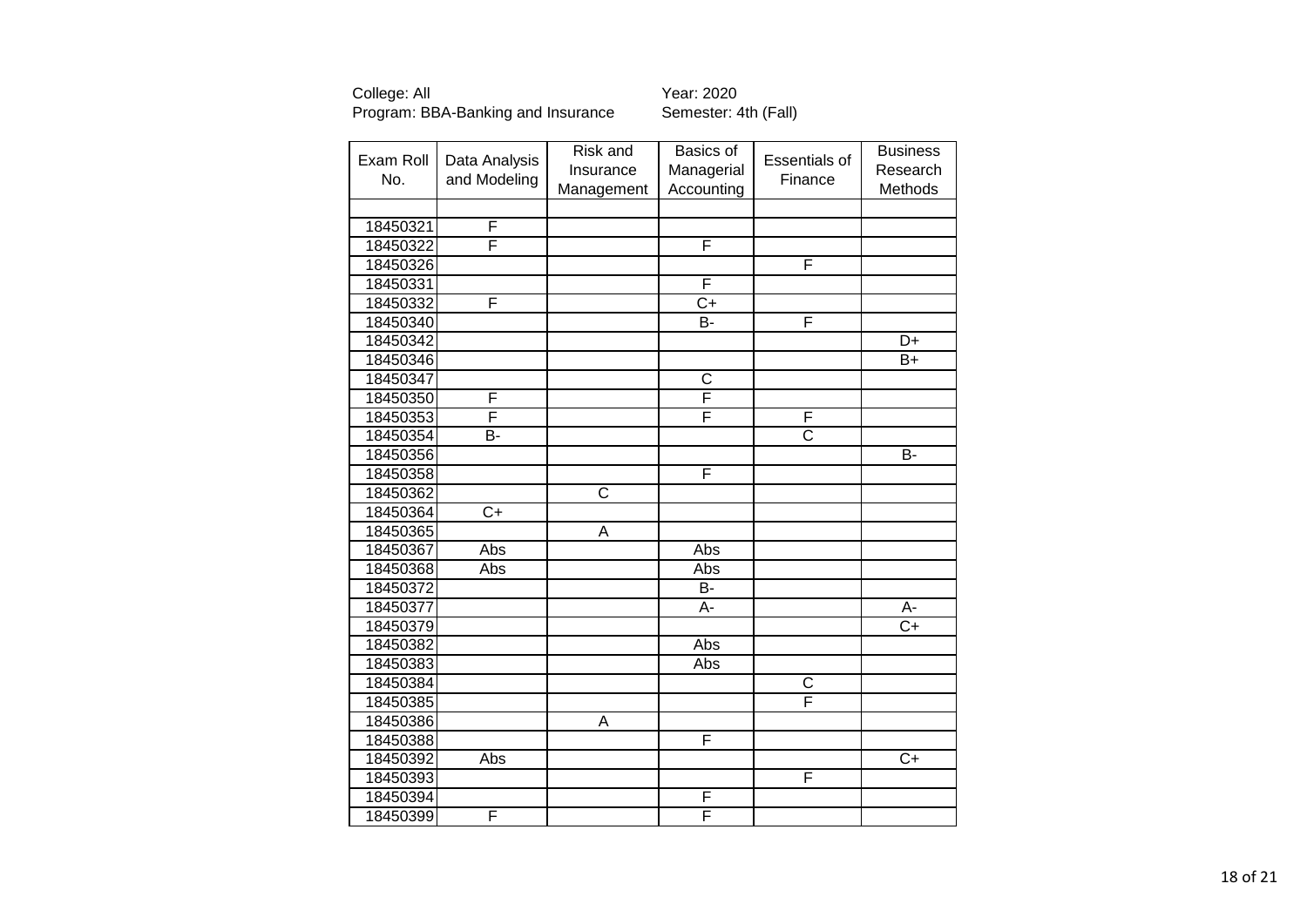| Exam Roll | Data Analysis  | Risk and   | Basics of             | <b>Essentials of</b>  | <b>Business</b> |
|-----------|----------------|------------|-----------------------|-----------------------|-----------------|
| No.       |                | Insurance  | Managerial            |                       | Research        |
|           | and Modeling   | Management | Accounting            | Finance               | Methods         |
|           |                |            |                       |                       |                 |
| 18450321  | F              |            |                       |                       |                 |
| 18450322  | F              |            | F                     |                       |                 |
| 18450326  |                |            |                       | F                     |                 |
| 18450331  |                |            | F                     |                       |                 |
| 18450332  | F              |            | $\overline{C+}$       |                       |                 |
| 18450340  |                |            | B-                    | F                     |                 |
| 18450342  |                |            |                       |                       | D+              |
| 18450346  |                |            |                       |                       | $B+$            |
| 18450347  |                |            | $\overline{\text{c}}$ |                       |                 |
| 18450350  | F              |            | F                     |                       |                 |
| 18450353  | F              |            | F                     | F                     |                 |
| 18450354  | $\overline{B}$ |            |                       | $\overline{\text{c}}$ |                 |
| 18450356  |                |            |                       |                       | <b>B-</b>       |
| 18450358  |                |            | F                     |                       |                 |
| 18450362  |                | C          |                       |                       |                 |
| 18450364  | $C+$           |            |                       |                       |                 |
| 18450365  |                | A          |                       |                       |                 |
| 18450367  | Abs            |            | Abs                   |                       |                 |
| 18450368  | Abs            |            | Abs                   |                       |                 |
| 18450372  |                |            | B-                    |                       |                 |
| 18450377  |                |            | A-                    |                       | A-              |
| 18450379  |                |            |                       |                       | $C+$            |
| 18450382  |                |            | Abs                   |                       |                 |
| 18450383  |                |            | Abs                   |                       |                 |
| 18450384  |                |            |                       | $\overline{C}$        |                 |
| 18450385  |                |            |                       | Ē                     |                 |
| 18450386  |                | A          |                       |                       |                 |
| 18450388  |                |            | F                     |                       |                 |
| 18450392  | Abs            |            |                       |                       | $\overline{C+}$ |
| 18450393  |                |            |                       | F                     |                 |
| 18450394  |                |            | F                     |                       |                 |
| 18450399  | F              |            | F                     |                       |                 |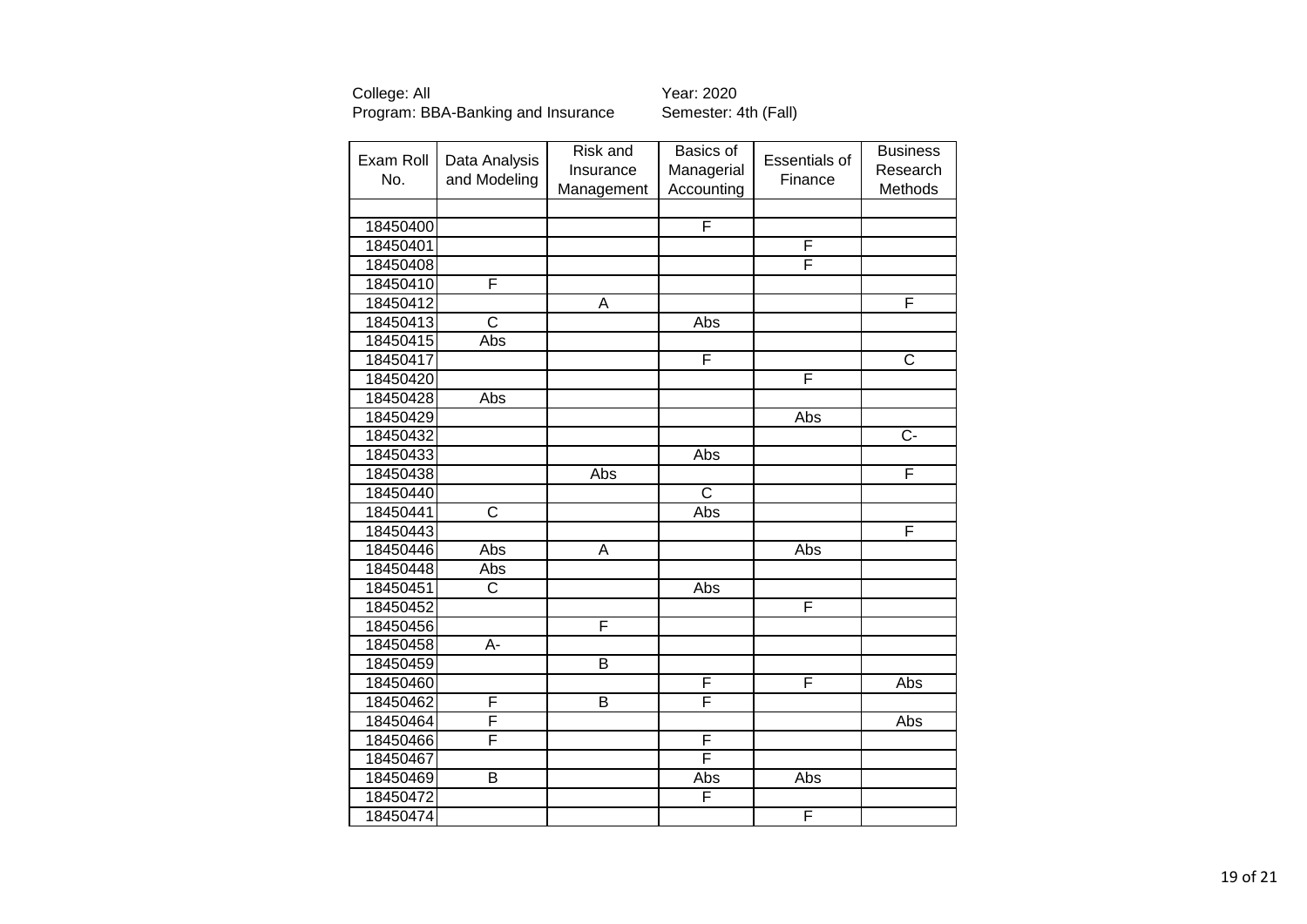| Exam Roll | Data Analysis         | Risk and                | Basics of  | <b>Essentials of</b> | <b>Business</b>         |
|-----------|-----------------------|-------------------------|------------|----------------------|-------------------------|
|           |                       | Insurance               | Managerial |                      | Research                |
| No.       | and Modeling          | Management              | Accounting | Finance              | Methods                 |
|           |                       |                         |            |                      |                         |
| 18450400  |                       |                         | F          |                      |                         |
| 18450401  |                       |                         |            | F                    |                         |
| 18450408  |                       |                         |            | F                    |                         |
| 18450410  | F                     |                         |            |                      |                         |
| 18450412  |                       | $\overline{\mathsf{A}}$ |            |                      | F                       |
| 18450413  | $\overline{\text{c}}$ |                         | Abs        |                      |                         |
| 18450415  | Abs                   |                         |            |                      |                         |
| 18450417  |                       |                         | F          |                      | $\overline{\mathsf{C}}$ |
| 18450420  |                       |                         |            | F                    |                         |
| 18450428  | Abs                   |                         |            |                      |                         |
| 18450429  |                       |                         |            | Abs                  |                         |
| 18450432  |                       |                         |            |                      | $\overline{C}$          |
| 18450433  |                       |                         | Abs        |                      |                         |
| 18450438  |                       | Abs                     |            |                      | F                       |
| 18450440  |                       |                         | C          |                      |                         |
| 18450441  | $\overline{\text{c}}$ |                         | Abs        |                      |                         |
| 18450443  |                       |                         |            |                      | F                       |
| 18450446  | Abs                   | A                       |            | Abs                  |                         |
| 18450448  | Abs                   |                         |            |                      |                         |
| 18450451  | $\overline{\text{C}}$ |                         | Abs        |                      |                         |
| 18450452  |                       |                         |            | F                    |                         |
| 18450456  |                       | F                       |            |                      |                         |
| 18450458  | A-                    |                         |            |                      |                         |
| 18450459  |                       | $\overline{\mathsf{B}}$ |            |                      |                         |
| 18450460  |                       |                         | F          | F                    | Abs                     |
| 18450462  | F                     | $\overline{\mathsf{B}}$ | F          |                      |                         |
| 18450464  | F                     |                         |            |                      | Abs                     |
| 18450466  | F                     |                         | F          |                      |                         |
| 18450467  |                       |                         | F          |                      |                         |
| 18450469  | B                     |                         | Abs        | Abs                  |                         |
| 18450472  |                       |                         | F          |                      |                         |
| 18450474  |                       |                         |            | F                    |                         |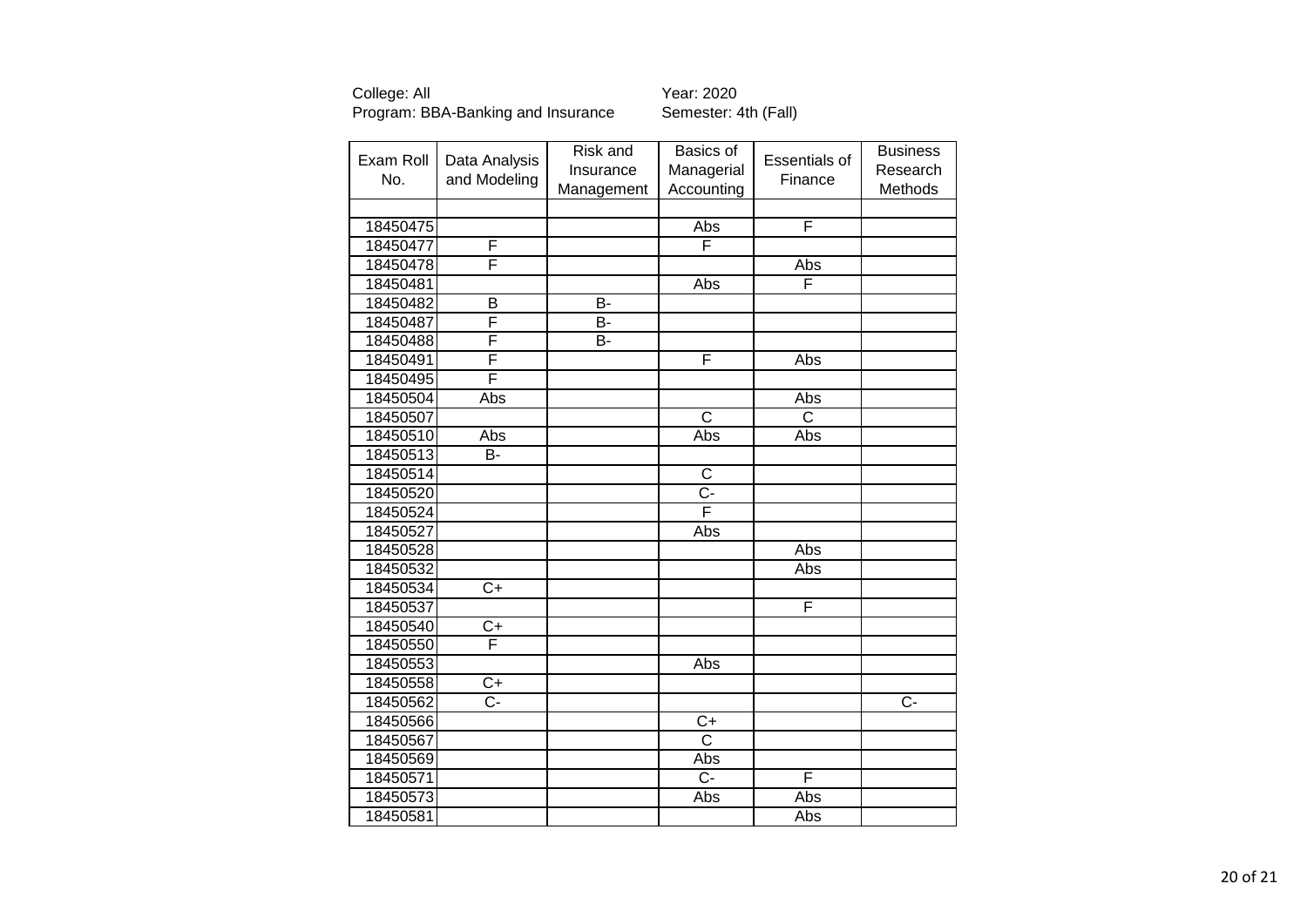| Exam Roll<br>No. | Data Analysis<br>and Modeling | Risk and<br>Insurance<br>Management | Basics of<br>Managerial<br>Accounting | Essentials of<br>Finance | <b>Business</b><br>Research<br>Methods |
|------------------|-------------------------------|-------------------------------------|---------------------------------------|--------------------------|----------------------------------------|
|                  |                               |                                     |                                       |                          |                                        |
| 18450475         |                               |                                     | Abs                                   | F                        |                                        |
| 18450477         | F                             |                                     | F                                     |                          |                                        |
| 18450478         | F                             |                                     |                                       | Abs                      |                                        |
| 18450481         |                               |                                     | Abs                                   | F                        |                                        |
| 18450482         | $\overline{B}$                | $\overline{B}$                      |                                       |                          |                                        |
| 18450487         | F                             | B-                                  |                                       |                          |                                        |
| 18450488         | F                             | B-                                  |                                       |                          |                                        |
| 18450491         | F                             |                                     | F                                     | Abs                      |                                        |
| 18450495         | F                             |                                     |                                       |                          |                                        |
| 18450504         | Abs                           |                                     |                                       | Abs                      |                                        |
| 18450507         |                               |                                     | $\overline{\text{c}}$                 | $\overline{\text{c}}$    |                                        |
| 18450510         | Abs                           |                                     | Abs                                   | Abs                      |                                        |
| 18450513         | <b>B-</b>                     |                                     |                                       |                          |                                        |
| 18450514         |                               |                                     | $\overline{C}$                        |                          |                                        |
| 18450520         |                               |                                     | $\overline{C}$ -                      |                          |                                        |
| 18450524         |                               |                                     | F                                     |                          |                                        |
| 18450527         |                               |                                     | Abs                                   |                          |                                        |
| 18450528         |                               |                                     |                                       | Abs                      |                                        |
| 18450532         |                               |                                     |                                       | Abs                      |                                        |
| 18450534         | $\overline{C+}$               |                                     |                                       |                          |                                        |
| 18450537         |                               |                                     |                                       | F                        |                                        |
| 18450540         | $\overline{C}$                |                                     |                                       |                          |                                        |
| 18450550         | F                             |                                     |                                       |                          |                                        |
| 18450553         |                               |                                     | Abs                                   |                          |                                        |
| 18450558         | $\overline{C}$                |                                     |                                       |                          |                                        |
| 18450562         | $\overline{C}$                |                                     |                                       |                          | $C -$                                  |
| 18450566         |                               |                                     | $C+$                                  |                          |                                        |
| 18450567         |                               |                                     | $\mathsf{C}$                          |                          |                                        |
| 18450569         |                               |                                     | Abs                                   |                          |                                        |
| 18450571         |                               |                                     | Ċ-                                    | F                        |                                        |
| 18450573         |                               |                                     | Abs                                   | Abs                      |                                        |
| 18450581         |                               |                                     |                                       | Abs                      |                                        |